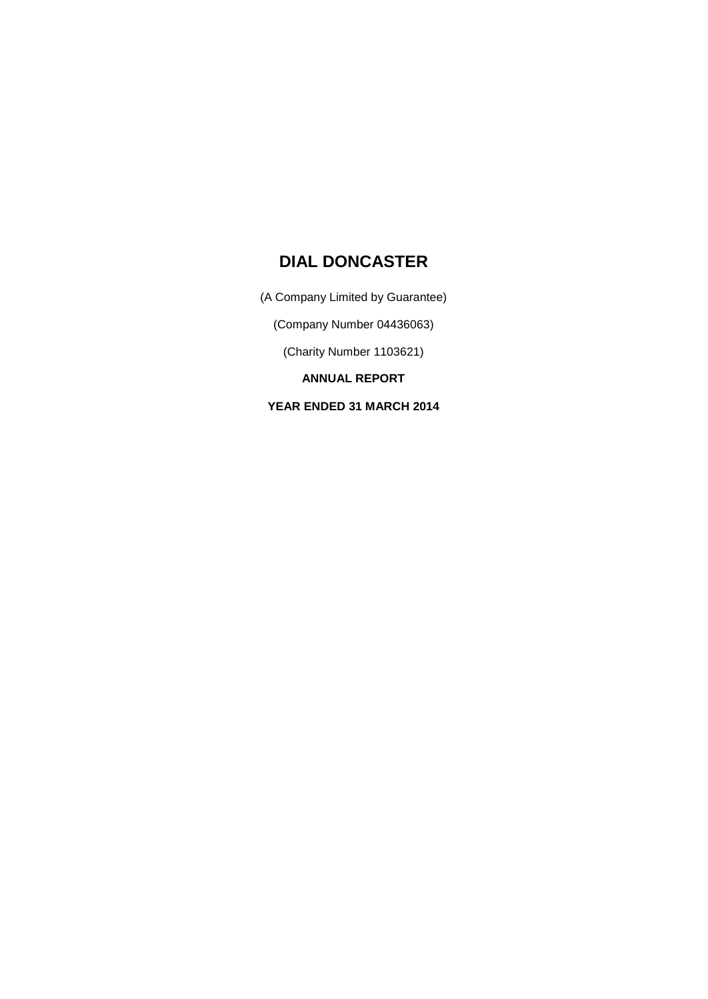(A Company Limited by Guarantee)

(Company Number 04436063)

(Charity Number 1103621)

**ANNUAL REPORT**

**YEAR ENDED 31 MARCH 2014**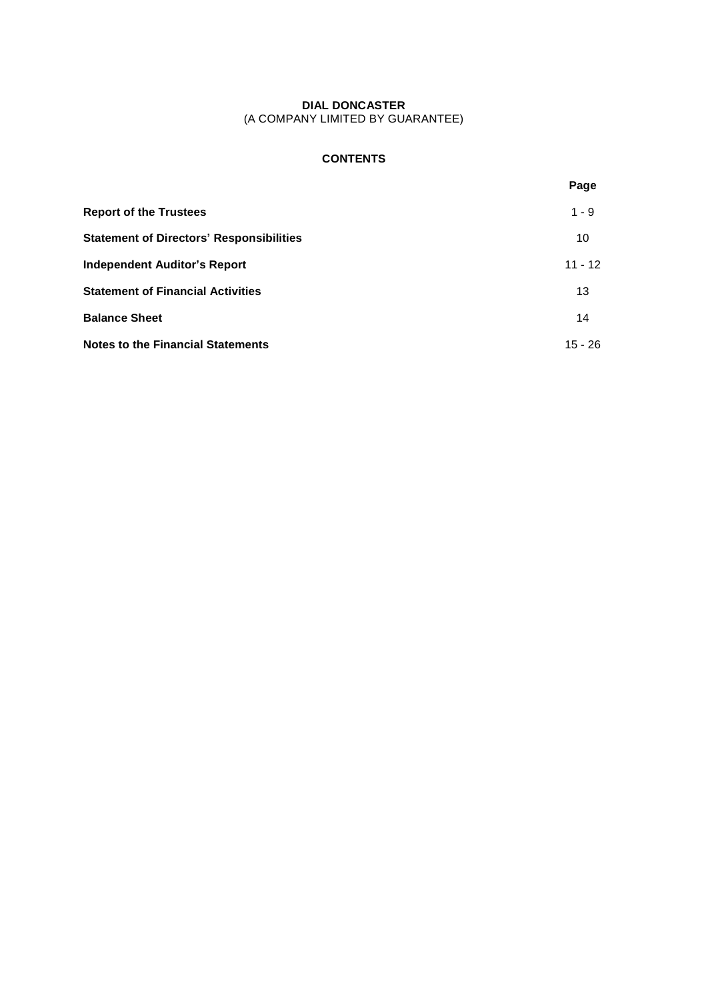## **CONTENTS**

|                                                 | Page      |
|-------------------------------------------------|-----------|
| <b>Report of the Trustees</b>                   | $1 - 9$   |
| <b>Statement of Directors' Responsibilities</b> | 10        |
| <b>Independent Auditor's Report</b>             | $11 - 12$ |
| <b>Statement of Financial Activities</b>        | 13        |
| <b>Balance Sheet</b>                            | 14        |
| <b>Notes to the Financial Statements</b>        | $15 - 26$ |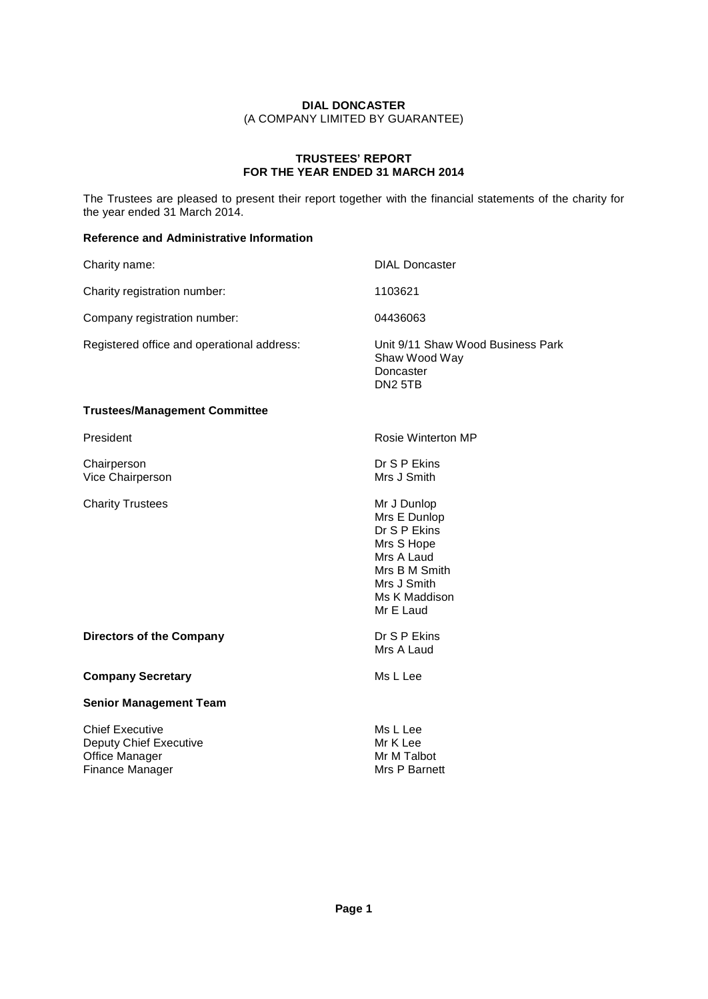## **TRUSTEES<sup>í</sup> REPORT FOR THE YEAR ENDED 31 MARCH 2014**

The Trustees are pleased to present their report together with the financial statements of the charity for the year ended 31 March 2014.

## **Reference and Administrative Information**

| Charity name:                              | <b>DIAL Doncaster</b>                                                                                                                 |
|--------------------------------------------|---------------------------------------------------------------------------------------------------------------------------------------|
| Charity registration number:               | 1103621                                                                                                                               |
| Company registration number:               | 04436063                                                                                                                              |
| Registered office and operational address: | Unit 9/11 Shaw Wood Business Park<br>Shaw Wood Way<br>Doncaster<br>DN <sub>2</sub> 5TB                                                |
| <b>Trustees/Management Committee</b>       |                                                                                                                                       |
| President                                  | Rosie Winterton MP                                                                                                                    |
| Chairperson<br>Vice Chairperson            | Dr S P Ekins<br>Mrs J Smith                                                                                                           |
| <b>Charity Trustees</b>                    | Mr J Dunlop<br>Mrs E Dunlop<br>Dr S P Ekins<br>Mrs S Hope<br>Mrs A Laud<br>Mrs B M Smith<br>Mrs J Smith<br>Ms K Maddison<br>Mr E Laud |
| <b>Directors of the Company</b>            | Dr S P Ekins<br>Mrs A Laud                                                                                                            |
| <b>Company Secretary</b>                   | Ms L Lee                                                                                                                              |
| <b>Senior Management Team</b>              |                                                                                                                                       |
| <b>Chief Executive</b>                     | Ms L Lee                                                                                                                              |

Deputy Chief Executive<br>
Office Manager<br>
Mr M Talbot

Finance Manager Manager Mrs P Barnett

Office Manager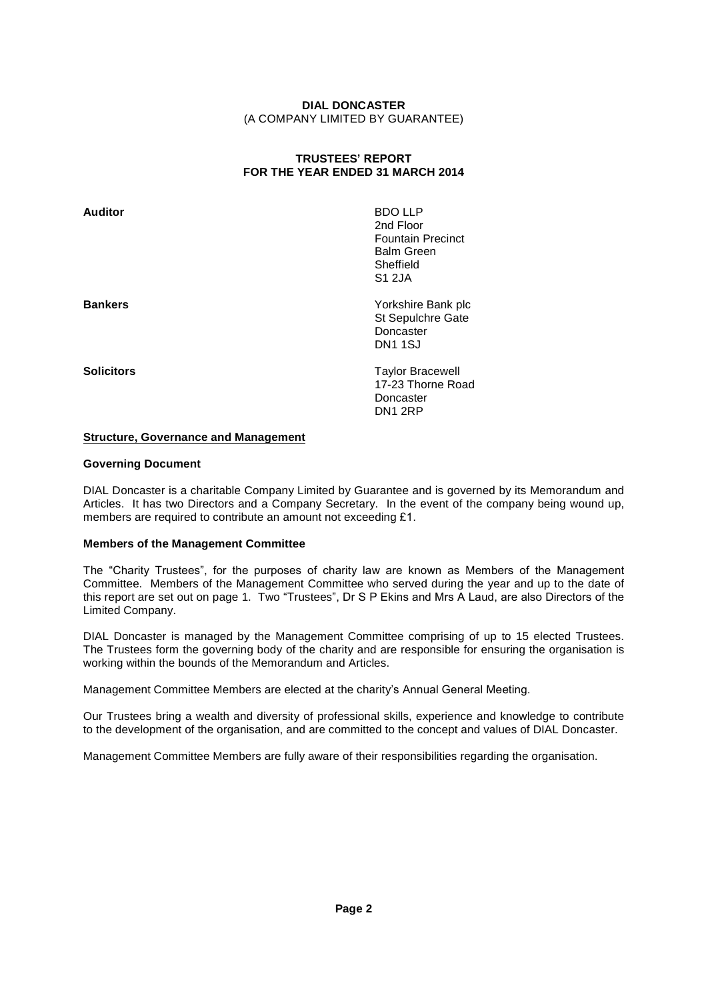## **TRUSTEES<sup>í</sup> REPORT FOR THE YEAR ENDED 31 MARCH 2014**

| Auditor           | <b>BDO LLP</b><br>2nd Floor<br><b>Fountain Precinct</b><br><b>Balm Green</b><br>Sheffield<br><b>S1 2JA</b> |
|-------------------|------------------------------------------------------------------------------------------------------------|
| <b>Bankers</b>    | Yorkshire Bank plc<br>St Sepulchre Gate<br>Doncaster<br>DN <sub>1</sub> 1SJ                                |
| <b>Solicitors</b> | <b>Taylor Bracewell</b><br>17-23 Thorne Road<br>Doncaster<br>DN1 2RP                                       |

#### **Structure, Governance and Management**

#### **Governing Document**

DIAL Doncaster is a charitable Company Limited by Guarantee and is governed by its Memorandum and Articles. It has two Directors and a Company Secretary. In the event of the company being wound up, DIAL Doncaster is a charitable Company Limited by Guarantee and is<br>Articles. It has two Directors and a Company Secretary. In the ever<br>members are required to contribute an amount not exceeding £1.

#### **Members of the Management Committee**

The "Charity Trustees", for the purposes of charity law are known as Members of the Management Committee. Members of the Management Committee who served during the year and up to the date of The "Charity Trustees", for the purposes of charity law are known as Members of the Management<br>Committee. Members of the Management Committee who served during the year and up to the date of<br>this report are set out on page Limited Company.

DIAL Doncaster is managed by the Management Committee comprising of up to 15 elected Trustees. The Trustees form the governing body of the charity and are responsible for ensuring the organisation is working within the bounds of the Memorandum and Articles.

Management Committee Members are elected at the charityís Annual General Meeting.

Our Trustees bring a wealth and diversity of professional skills, experience and knowledge to contribute to the development of the organisation, and are committed to the concept and values of DIAL Doncaster.

Management Committee Members are fully aware of their responsibilities regarding the organisation.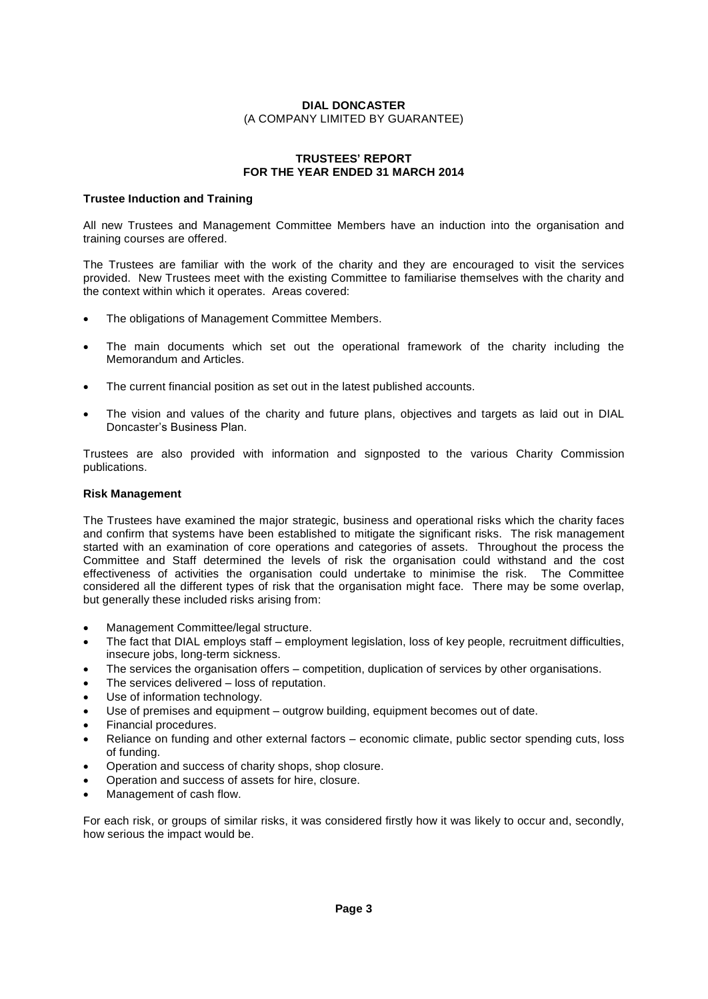#### **TRUSTEES<sup>í</sup> REPORT FOR THE YEAR ENDED 31 MARCH 2014**

#### **Trustee Induction and Training**

All new Trustees and Management Committee Members have an induction into the organisation and training courses are offered.

The Trustees are familiar with the work of the charity and they are encouraged to visit the services provided. New Trustees meet with the existing Committee to familiarise themselves with the charity and the context within which it operates. Areas covered:

- The obligations of Management Committee Members.
- The main documents which set out the operational framework of the charity including the Memorandum and Articles.
- The current financial position as set out in the latest published accounts.
- The vision and values of the charity and future plans, objectives and targets as laid out in DIAL .<br>The vision and values of the c<br>Doncaster's Business Plan.

Trustees are also provided with information and signposted to the various Charity Commission publications.

#### **Risk Management**

The Trustees have examined the major strategic, business and operational risks which the charity faces and confirm that systems have been established to mitigate the significant risks. The risk management started with an examination of core operations and categories of assets. Throughout the process the Committee and Staff determined the levels of risk the organisation could withstand and the cost effectiveness of activities the organisation could undertake to minimise the risk. The Committee considered all the different types of risk that the organisation might face. There may be some overlap, but generally these included risks arising from:

- Management Committee/legal structure.
- .<br>Management Committee/legal structure.<br>The fact that DIAL employs staff employment legislation, loss of key people, recruitment difficulties, insecure jobs, long-term sickness. The fact that DIAL employs staff – employment legislation, loss of key people, recruitment difficulties,<br>insecure jobs, long-term sickness.<br>The services the organisation offers – competition, duplication of services by oth
- The services the organisation offers competition, duplication of services by other organisations.<br>The services delivered loss of reputation.
- 
- Use of information technology.
- The services delivered loss of reputation.<br>• Use of information technology.<br>• Use of premises and equipment outgrow building, equipment becomes out of date. **•** Use of premises and equip<br>• Financial procedures.
- 
- Use of premises and equipment outgrow building, equipment becomes out of date.<br>Financial procedures.<br>Reliance on funding and other external factors economic climate, public sector spending cuts, loss • Reliance on fur<br>of funding. of funding.<br>Operation and success of charity shops, shop closure.
- 
- Operation and success of assets for hire, closure.
- Management of cash flow.

For each risk, or groups of similar risks, it was considered firstly how it was likely to occur and, secondly, how serious the impact would be.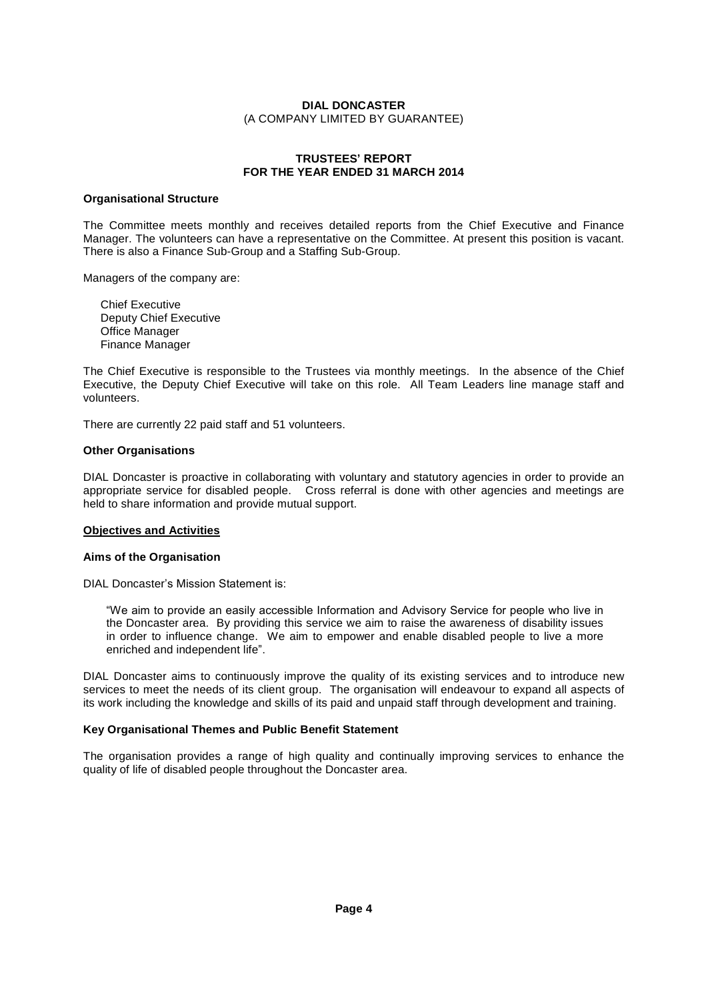## **TRUSTEES<sup>í</sup> REPORT FOR THE YEAR ENDED 31 MARCH 2014**

#### **Organisational Structure**

The Committee meets monthly and receives detailed reports from the Chief Executive and Finance Manager. The volunteers can have a representative on the Committee. At present this position is vacant. There is also a Finance Sub-Group and a Staffing Sub-Group.

Managers of the company are:

Chief Executive Deputy Chief Executive Office Manager Finance Manager

The Chief Executive is responsible to the Trustees via monthly meetings. In the absence of the Chief Executive, the Deputy Chief Executive will take on this role. All Team Leaders line manage staff and volunteers.

There are currently 22 paid staff and 51 volunteers.

#### **Other Organisations**

DIAL Doncaster is proactive in collaborating with voluntary and statutory agencies in order to provide an appropriate service for disabled people. Cross referral is done with other agencies and meetings are held to share information and provide mutual support.

#### **Objectives and Activities**

#### **Aims of the Organisation**

**Aims of the Organisation**<br>DIAL Doncaster's Mission Statement is:

"We aim to provide an easily accessible Information and Advisory Service for people who live in the Doncaster area. By providing this service we aim to raise the awareness of disability issues in order to influence change. We aim to empower and enable disabled people to live a more the Doncaster area. By providing t<br>in order to influence change. We<br>enriched and independent life".

DIAL Doncaster aims to continuously improve the quality of its existing services and to introduce new services to meet the needs of its client group. The organisation will endeavour to expand all aspects of its work including the knowledge and skills of its paid and unpaid staff through development and training.

#### **Key Organisational Themes and Public Benefit Statement**

The organisation provides a range of high quality and continually improving services to enhance the quality of life of disabled people throughout the Doncaster area.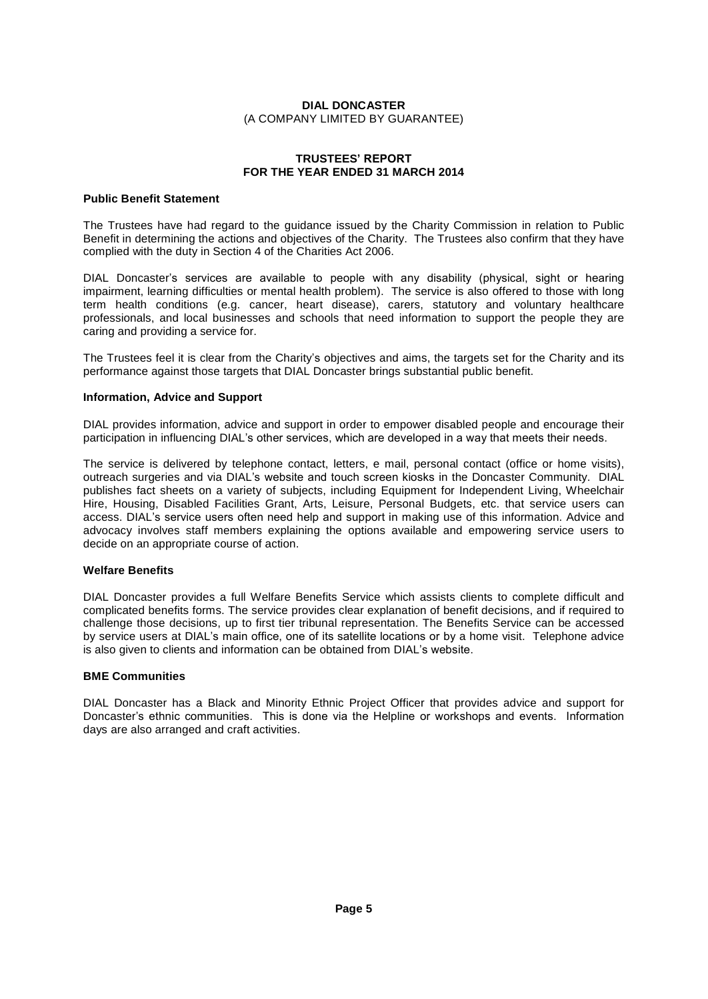#### **TRUSTEES<sup>í</sup> REPORT FOR THE YEAR ENDED 31 MARCH 2014**

#### **Public Benefit Statement**

The Trustees have had regard to the guidance issued by the Charity Commission in relation to Public Benefit in determining the actions and objectives of the Charity. The Trustees also confirm that they have complied with the duty in Section 4 of the Charities Act 2006.

DIAL Doncasterís services are available to people with any disability (physical, sight or hearing impairment, learning difficulties or mental health problem). The service is also offered to those with long term health conditions (e.g. cancer, heart disease), carers, statutory and voluntary healthcare professionals, and local businesses and schools that need information to support the people they are caring and providing a service for.

The Trustees feel it is clear from the Charityís <sup>o</sup>bjectives and aims, the targets set for the Charity and its performance against those targets that DIAL Doncaster brings substantial public benefit.

#### **Information, Advice and Support**

DIAL provides information, advice and support in order to empower disabled people and encourage their porticipation in influenciation in the service and support in order to empower disabled people and encourage their<br>The participation in influencing DIAL's other services, which are developed in a way that meets their needs

The service is delivered by telephone contact, letters, e mail, personal contact (office or home visits), participation in influencing DIAL's other services, which are developed in a way that meets their needs.<br>The service is delivered by telephone contact, letters, e mail, personal contact (office or home visits), outreach su publishes fact sheets on a variety of subjects, including Equipment for Independent Living, Wheelchair Hire, Housing, Disabled Facilities Grant, Arts, Leisure, Personal Budgets, etc. that service users can publishes fact sheets on a variety of subjects, including Equipment for Independent Living, Wheelchair<br>Hire, Housing, Disabled Facilities Grant, Arts, Leisure, Personal Budgets, etc. that service users can<br>access. DIAL's s advocacy involves staff members explaining the options available and empowering service users to decide on an appropriate course of action.

## **Welfare Benefits**

DIAL Doncaster provides a full Welfare Benefits Service which assists clients to complete difficult and complicated benefits forms. The service provides clear explanation of benefit decisions, and if required to challenge those decisions, up to first tier tribunal representation. The Benefits Service can be accessed by servi challenge those decisions, up to first tier tribunal representation. The Benefits Service can be accessed<br>by service users at DIAL's main office, one of its satellite locations or by a home visit. Telephone advice<br>is also

#### **BME Communities**

DIAL Doncaster has a Black and Minority Ethnic Project Officer that provides advice and support for DIAL Doncaster has a Black and Minority Ethnic Project Officer that provides advice and support for<br>Doncaster's ethnic communities. This is done via the Helpline or workshops and events. Information days are also arranged and craft activities.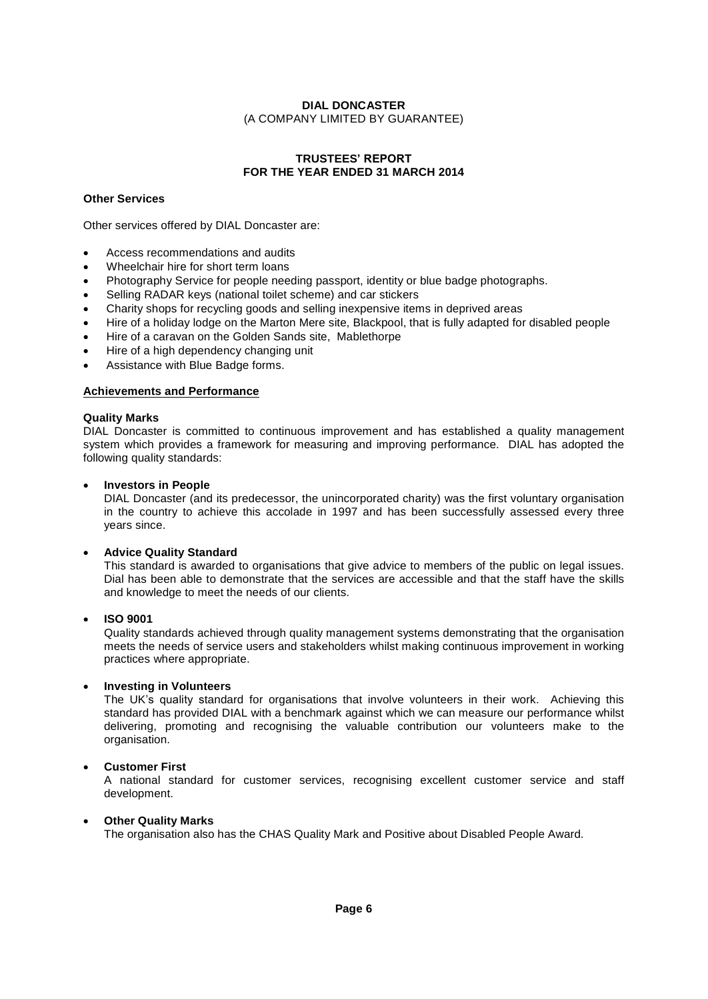## **TRUSTEES<sup>í</sup> REPORT FOR THE YEAR ENDED 31 MARCH 2014**

## **Other Services**

Other services offered by DIAL Doncaster are:

- Access recommendations and audits  $\bullet$
- Wheelchair hire for short term loans
- Photography Service for people needing passport, identity or blue badge photographs.  $\bullet$
- Selling RADAR keys (national toilet scheme) and car stickers  $\bullet$
- Charity shops for recycling goods and selling inexpensive items in deprived areas  $\bullet$
- Hire of a holiday lodge on the Marton Mere site, Blackpool, that is fully adapted for disabled people  $\bullet$
- Hire of a caravan on the Golden Sands site, Mablethorpe
- Hire of <sup>a</sup> high dependency changing unit
- Assistance with Blue Badge forms.

## **Achievements and Performance**

#### **Quality Marks**

DIAL Doncaster is committed to continuous improvement and has established a quality management system which provides a framework for measuring and improving performance. DIAL has adopted the following quality standards:

#### **Investors in People**

DIAL Doncaster (and its predecessor, the unincorporated charity) was the first voluntary organisation in the country to achieve this accolade in 1997 and has been successfully assessed every three years since.

## **Advice Quality Standard**

This standard is awarded to organisations that give advice to members of the public on legalissues. Dial has been able to demonstrate that the services are accessible and that the staff have the skills and knowledge to meet the needs of our clients.

#### **ISO 9001**

Quality standards achieved through quality management systems demonstrating that the organisation meets the needs of service users and stakeholders whilst making continuous improvement in working practices where appropriate.

#### **Investing in Volunteers**

The UK's quality standard for organisations that involve volunteers in their work. Achieving this standard has provided DIAL with a benchmark against which we can measure our performance whilst delivering, promoting and recognising the valuable contribution our volunteers make to the organisation.

#### **Customer First**

A national standard for customer services, recognising excellent customer service and staff development.

#### **Other Quality Marks**

The organisation also has the CHAS Quality Mark and Positive about Disabled People Award.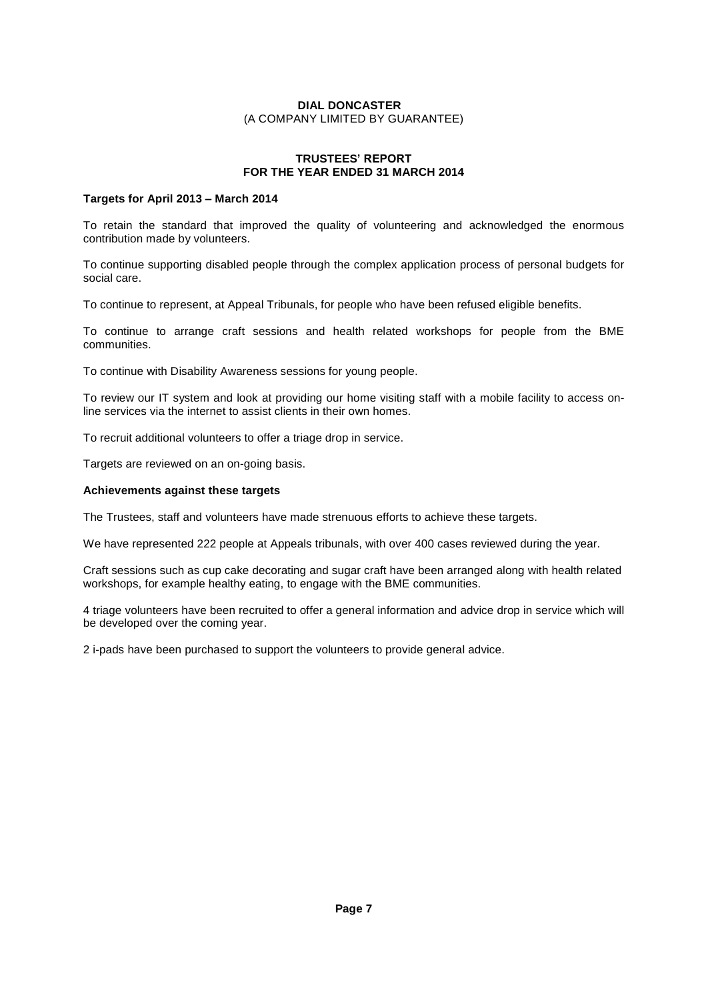## **TRUSTEES<sup>í</sup> REPORT FOR THE YEAR ENDED 31 MARCH 2014**

## **Targets for April <sup>2013</sup> <sup>ñ</sup> March <sup>2014</sup>**

To retain the standard that improved the quality of volunteering and acknowledged the enormous contribution made by volunteers.

To continue supporting disabled people through the complex application process of personal budgets for social care.

To continue to represent, at Appeal Tribunals, for people who have been refused eligible benefits.

To continue to arrange craft sessions and health related workshops for people from the BME communities.

To continue with Disability Awareness sessions for young people.

To review our IT system and look at providing our home visiting staff with a mobile facility to access online services via the internet to assist clients in their own homes.

To recruit additional volunteers to offer a triage drop in service.

Targets are reviewed on an on-going basis.

#### **Achievements against these targets**

The Trustees, staff and volunteers have made strenuous efforts to achieve these targets.

We have represented 222 people at Appeals tribunals, with over 400 cases reviewed during the year.

Craft sessions such as cup cake decorating and sugar craft have been arranged along with health related workshops, for example healthy eating, to engage with the BME communities.

4 triage volunteers have been recruited to offer a general information and advice drop in service which will be developed over the coming year.

2 i-pads have been purchased to support the volunteers to provide general advice.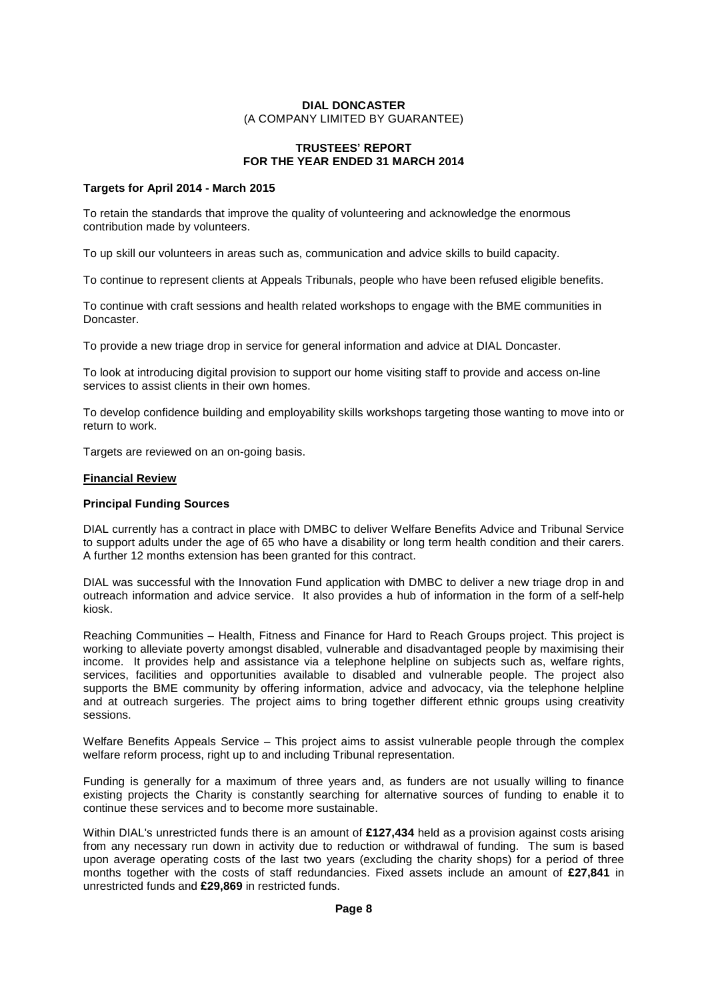# (A COMPANY LIMITED BY GUARANTEE) **TRUSTEES<sup>í</sup> REPORT FOR THE YEAR ENDED 31 MARCH 2014**

#### **Targets for April 2014 - March 2015**

To retain the standards that improve the quality of volunteering and acknowledge the enormous contribution made by volunteers.

To up skill our volunteers in areas such as, communication and advice skills to build capacity.

To continue to represent clients at Appeals Tribunals, people who have been refused eligible benefits.

To continue with craft sessions and health related workshops to engage with the BME communities in Doncaster.

To provide a new triage drop in service for general information and advice at DIAL Doncaster.

To look at introducing digital provision to support our home visiting staff to provide and access on-line services to assist clients in their own homes.

To develop confidence building and employability skills workshops targeting those wanting to move into or return to work.

Targets are reviewed on an on-going basis.

#### **Financial Review**

#### **Principal Funding Sources**

DIAL currently has a contract in place with DMBC to deliver Welfare Benefits Advice and Tribunal Service to support adults under the age of 65 who have a disability or long term health condition and their carers. A further 12 months extension has been granted for this contract.

DIAL was successful with the Innovation Fund application with DMBC to deliver a new triage drop in and outreach information and advice service. It also provides a hub of information in the form of a self-help kiosk.

Reaching Communities – Health, Fitness and Finance for Hard to Reach Groups project. This project is working to alleviate poverty amongst disabled, vulnerable and disadvantaged people by maximising their income. It provides help and assistance via a telephone helpline on subjects such as, welfare rights, services, facilities and opportunities available to disabled and vulnerable people. The project also supports the BME community by offering information, advice and advocacy, via the telephone helpline and at outreach surgeries. The project aims to bring together different ethnic groups using creativity sessions.

Welfare Benefits Appeals Service – This project aims to assist vulnerable people through the complex welfare reform process, right up to and including Tribunal representation.

Funding is generally for a maximum of three years and, as funders are not usually willing to finance existing projects the Charity is constantly searching for alternative sources of funding to enable it to continue these services and to become more sustainable.

Within DIAL's unrestricted funds there is an amount of **£127,434** held as <sup>a</sup> provision against costs arising from any necessary run down in activity due to reduction or withdrawal of funding. The sum is based months together with the costs of staff redundancies. Fixed assets include an amount of **£27,841** in upon average operating costs of the last two years (excluding the charity shops) for a period of three months together with the costs of staff redundancies. Fixed assets include an amount of **£27,841** in unrestricted funds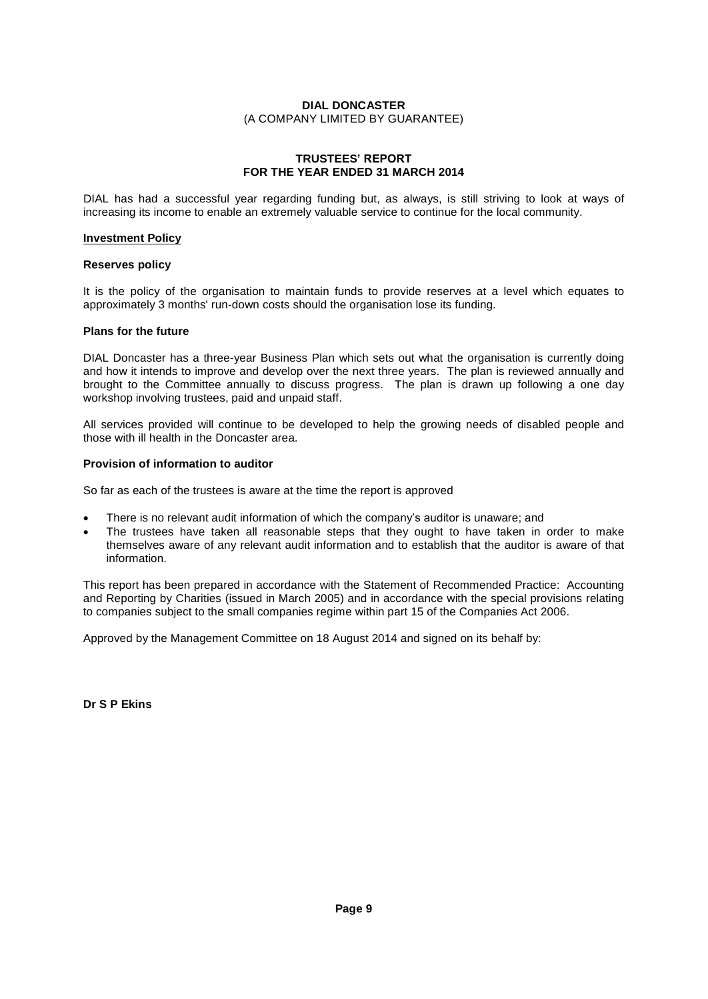#### **TRUSTEES<sup>í</sup> REPORT FOR THE YEAR ENDED 31 MARCH 2014**

DIAL has had a successful year regarding funding but, as always, is still striving to look at ways of increasing its income to enable an extremely valuable service to continue for the local community.

#### **Investment Policy**

#### **Reserves policy**

It is the policy of the organisation to maintain funds to provide reserves at a level which equates to approximately 3 months' run-down costs should the organisation lose its funding.

#### **Plans for the future**

DIAL Doncaster has a three-year Business Plan which sets out what the organisation is currently doing and how it intends to improve and develop over the next three years. The plan is reviewed annually and brought to the Committee annually to discuss progress. The plan is drawn up following a one day workshop involving trustees, paid and unpaid staff.

All services provided will continue to be developed to help the growing needs of disabled people and those with ill health in the Doncaster area.

#### **Provision of information to auditor**

So far as each of the trustees is aware at the time the report is approved

- There is no relevant audit information of which the company's auditor is unaware; and
- The trustees have taken all reasonable steps that they ought to have taken in order to make themselves aware of any relevant audit information and to establish that the auditor is aware of that information.

This report has been prepared in accordance with the Statement of Recommended Practice: Accounting and Reporting by Charities (issued in March 2005) and in accordance with the special provisions relating to companies subject to the small companies regime within part15 of the Companies Act 2006.

Approved by the Management Committee on 18 August 2014 and signed on its behalf by:

**Dr S P Ekins**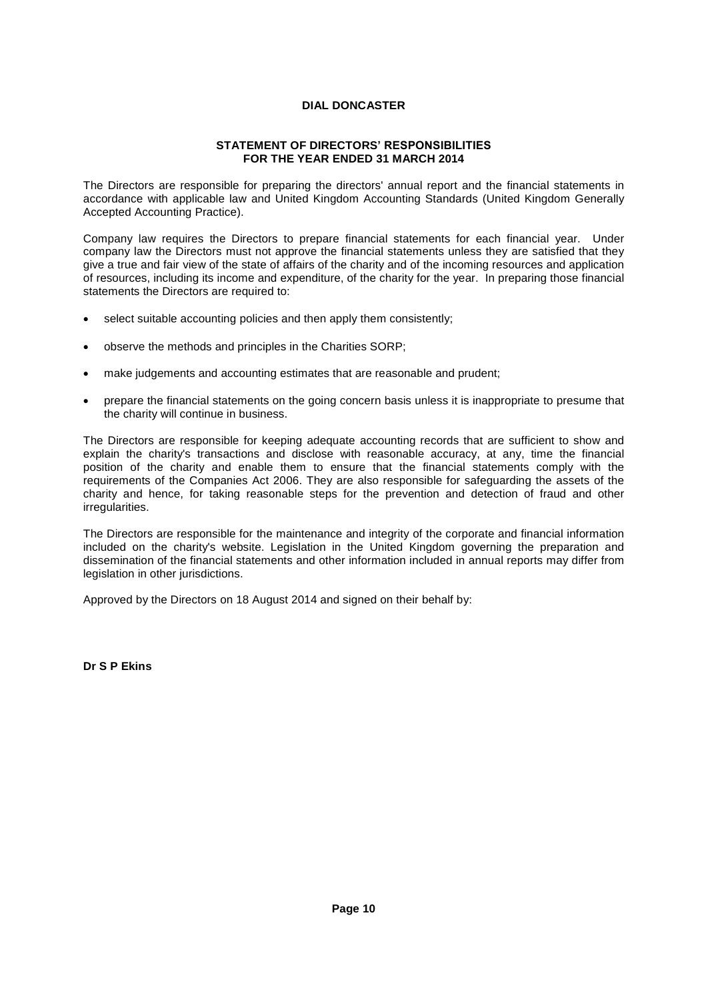#### **STATEMENT OF DIRECTORS<sup>í</sup> RESPONSIBILITIES FOR THE YEAR ENDED 31 MARCH 2014**

The Directors are responsible for preparing the directors' annual report and the financial statements in accordance with applicable law and United Kingdom Accounting Standards (United Kingdom Generally Accepted Accounting Practice).

Company law requires the Directors to prepare financial statements for each financial year. Under company law the Directors must not approve the financial statements unless they are satisfied that they give a true and fair view of the state of affairs of the charity and of the incoming resources and application of resources, including its income and expenditure, of the charity for the year. In preparing those financial statements the Directors are required to:

- select suitable accounting policies and then apply them consistently;
- observe the methods and principles in the Charities SORP;
- make judgements and accounting estimates that are reasonable and prudent;
- prepare the financial statements on the going concern basis unless it is inappropriate to presume that the charity will continue in business.

The Directors are responsible for keeping adequate accounting records that are sufficient to show and explain the charity's transactions and disclose with reasonable accuracy, at any, time the financial position of the charity and enable them to ensure that the financial statements comply with the requirements of the Companies Act 2006. They are also responsible for safeguarding the assets of the charity and hence, for taking reasonable steps for the prevention and detection of fraud and other irregularities.

The Directors are responsible for the maintenance and integrity of the corporate and financial information included on the charity's website. Legislation in the United Kingdom governing the preparation and dissemination of the financial statements and other information included in annual reports may differ from legislation in other jurisdictions.

Approved by the Directors on 18 August 2014 and signed on their behalf by:

**Dr S P Ekins**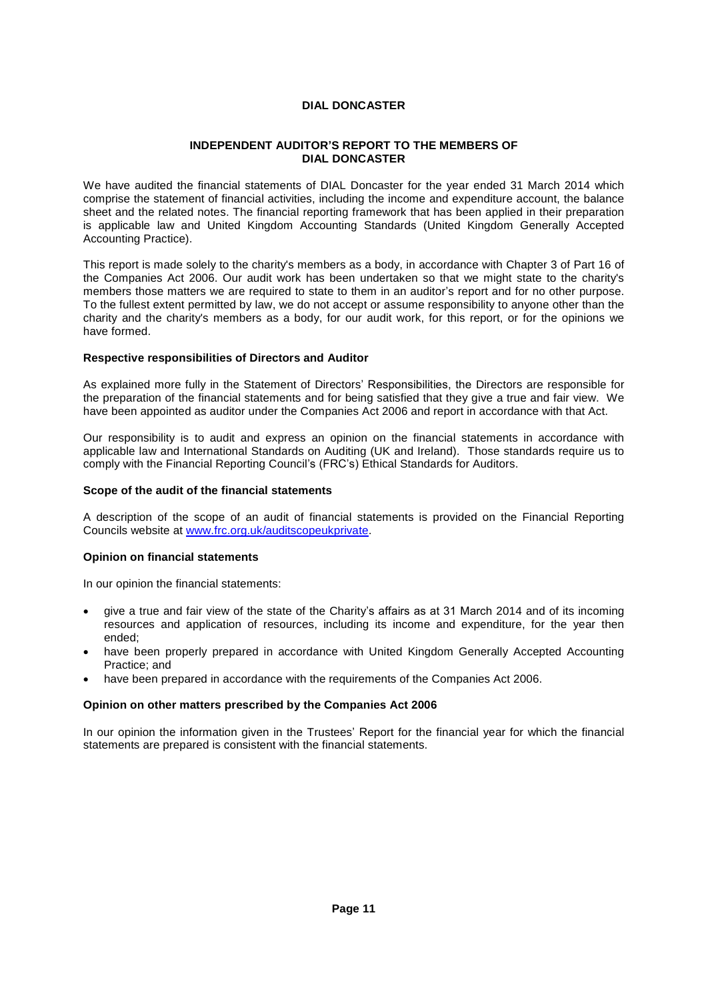## **INDEPENDENT AUDITORí<sup>S</sup> REPORT TO THE MEMBERS OF DIAL DONCASTER**

We have audited the financial statements of DIAL Doncaster for the year ended 31 March 2014 which comprise the statement of financial activities, including the income and expenditure account, the balance sheet and the related notes. The financial reporting framework that has been applied in their preparation is applicable law and United Kingdom Accounting Standards (United Kingdom Generally Accepted Accounting Practice).

This report is made solely to the charity's members as a body, in accordance with Chapter 3 of Part 16 of<br>the Companies Act 2006. Our audit work has been undertaken so that we might state to the charity's<br>members those mat the Companies Act 2006. Our audit work has been undertaken so that we might state to the charity's To the fullest extent permitted by law, we do not accept or assume responsibility to anyone other than the charity and the charity's members as a body, for our audit work, for this report, or for the opinions we have formed.

## **Respective responsibilities of Directors and Auditor**

As explained more fully in the Statement of Directors<sup>í</sup> Responsibilities, the Directors are responsible for the preparation of the financial statements and for being satisfied that they give a true and fair view. We have been appointed as auditor under the Companies Act 2006 and report in accordance with that Act.

Our responsibility is to audit and express an opinion on the financial statements in accordance with<br>applicable law and International Standards on Auditing (UK and Ireland). Those standards require us to<br>comply with the Fi applicable law and International Standards on Auditing (UK and Ireland). Those standards require us to

#### **Scope of the audit of the financial statements**

A description of the scope of an audit of financial statements is provided on the Financial Reporting Councils website at www.frc.org.uk/auditscopeukprivate.

#### **Opinion on financial statements**

In our opinion the financial statements:

- give <sup>a</sup> true and fair view of the state of the Charityís affairs as at <sup>31</sup> March <sup>2014</sup> and of its incoming resources and application of resources, including its income and expenditure, for the year then ended;
- have been properly prepared in accordance with United Kingdom Generally Accepted Accounting Practice; and  $\bullet$
- have been prepared in accordance with the requirements of the Companies Act 2006.

#### **Opinion on other matters prescribed by the Companies Act 2006**

In our opinion the information given in the Trustees' Report for the financial year for which the financial statements are prepared is consistent with the financial statements.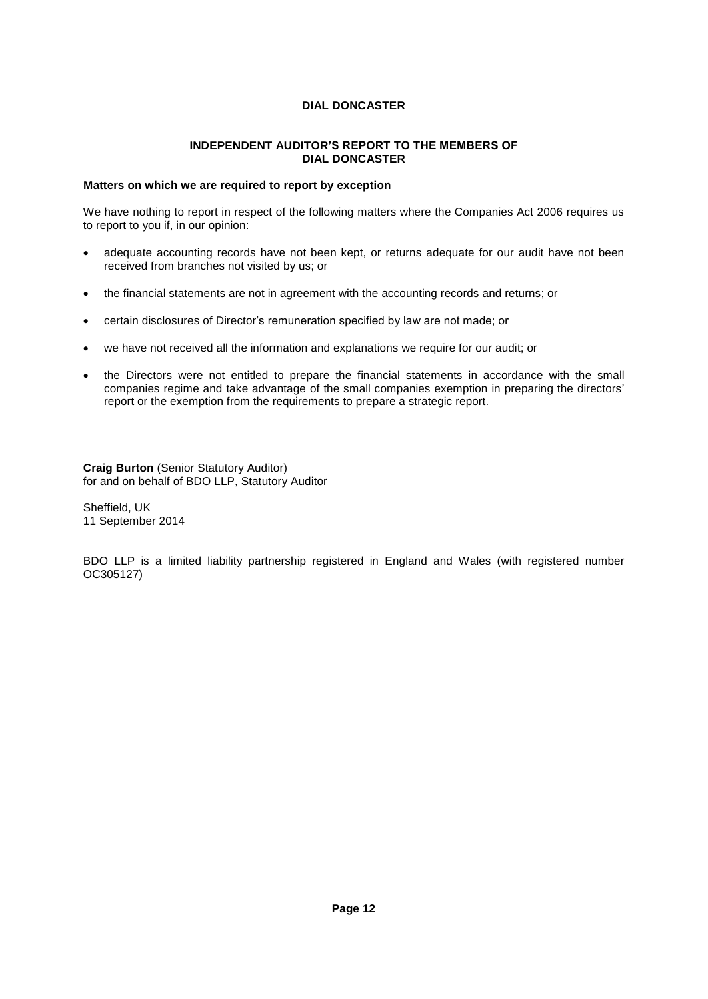## **INDEPENDENT AUDITORíS REPORT TO THE MEMBERS OF DIAL DONCASTER**

## **Matters on which we are required to report by exception**

We have nothing to report in respect of the following matters where the Companies Act 2006 requires us to report to you if, in our opinion:

- adequate accounting records have not been kept, or returns adequate forour audit have not been received from branches not visited by us; or
- the financial statements are not in agreement with the accounting records and returns; or
- certain disclosures of Director's remuneration specified by law are not made; or
- we have not received all the information and explanations we require for our audit; or
- the Directors were not entitled to prepare the financial statements in accordance with the small companies regime and take advantage of the small companies exemption in preparing the directors' report or the exemption from the requirements to prepare a strategic report.

**Craig Burton** (Senior Statutory Auditor) for and on behalf of BDO LLP, Statutory Auditor

Sheffield, UK 11 September 2014

BDO LLP is a limited liability partnership registered in England and Wales (with registered number OC305127)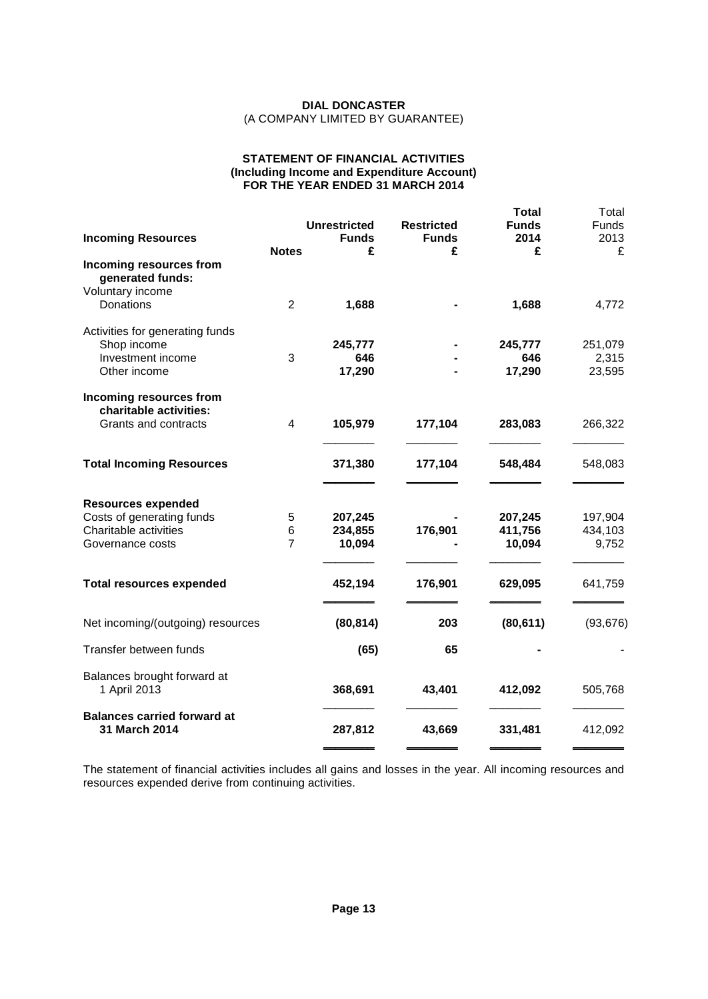#### **STATEMENT OF FINANCIAL ACTIVITIES (Including Income and Expenditure Account) FOR THE YEAR ENDED 31 MARCH 2014**

|                                                                        |                          | <b>Unrestricted</b>          | <b>Restricted</b> | <b>Total</b><br><b>Funds</b> | Total<br><b>Funds</b>       |
|------------------------------------------------------------------------|--------------------------|------------------------------|-------------------|------------------------------|-----------------------------|
| <b>Incoming Resources</b>                                              | <b>Notes</b>             | <b>Funds</b><br>£            | <b>Funds</b><br>£ | 2014<br>£                    | 2013<br>£                   |
| Incoming resources from<br>generated funds:<br>Voluntary income        |                          |                              |                   |                              |                             |
| Donations                                                              | $\overline{2}$           | 1,688                        |                   | 1,688                        | 4,772                       |
| Activities for generating funds<br>Shop income                         |                          | 245,777                      |                   | 245,777                      | 251,079                     |
| Investment income<br>Other income                                      | 3                        | 646<br>17,290                |                   | 646<br>17,290                | 2,315<br>23,595             |
| Incoming resources from<br>charitable activities:                      |                          |                              |                   |                              |                             |
| Grants and contracts                                                   | 4                        | 105,979                      | 177,104           | 283,083                      | 266,322                     |
| <b>Total Incoming Resources</b>                                        |                          | 371,380                      | 177,104           | 548,484                      | 548,083                     |
| <b>Resources expended</b>                                              |                          |                              |                   |                              |                             |
| Costs of generating funds<br>Charitable activities<br>Governance costs | 5<br>6<br>$\overline{7}$ | 207,245<br>234,855<br>10,094 | 176,901           | 207,245<br>411,756<br>10,094 | 197,904<br>434,103<br>9,752 |
|                                                                        |                          |                              |                   |                              |                             |
| <b>Total resources expended</b>                                        |                          | 452,194                      | 176,901           | 629,095                      | 641,759                     |
| Net incoming/(outgoing) resources                                      |                          | (80, 814)                    | 203               | (80, 611)                    | (93, 676)                   |
| Transfer between funds                                                 |                          | (65)                         | 65                |                              |                             |
| Balances brought forward at<br>1 April 2013                            |                          | 368,691                      | 43,401            | 412,092                      | 505,768                     |
| <b>Balances carried forward at</b><br>31 March 2014                    |                          | 287,812                      | 43,669            | 331,481                      | 412,092                     |

The statement of financial activities includes all gains and losses in the year. All incoming resources and resources expended derive from continuing activities.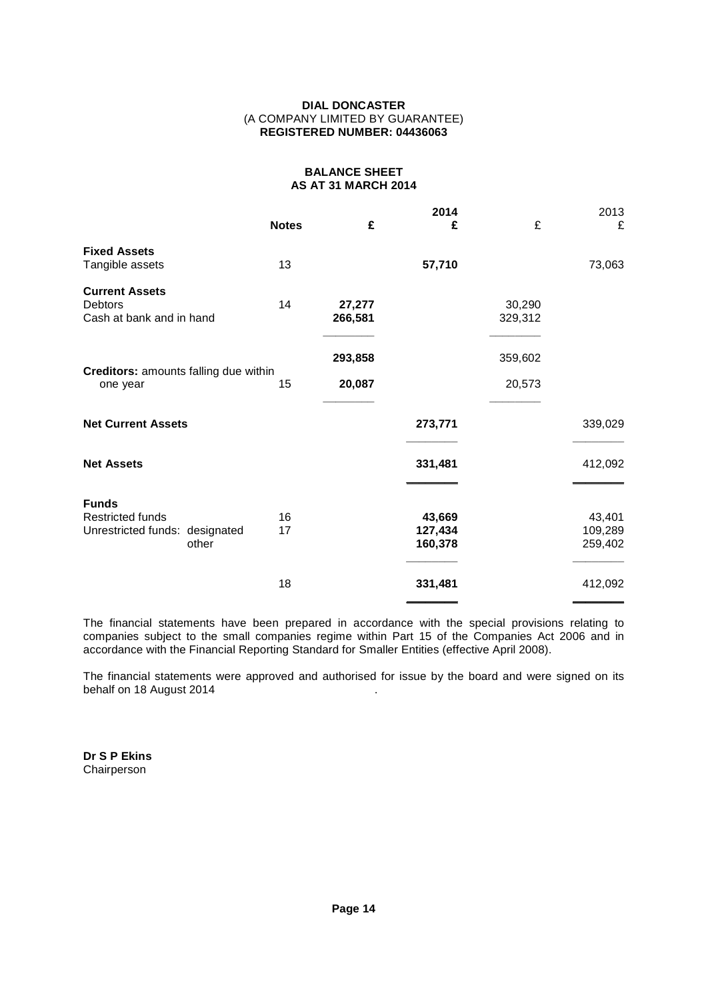## **DIAL DONCASTER** (A COMPANY LIMITED BY GUARANTEE) **REGISTERED NUMBER: 04436063**

#### **BALANCE SHEET AS AT 31 MARCH 2014**

|                                                                                    | <b>Notes</b> | £                 | 2014<br>£                    | £                 | 2013<br>£                    |
|------------------------------------------------------------------------------------|--------------|-------------------|------------------------------|-------------------|------------------------------|
| <b>Fixed Assets</b><br>Tangible assets                                             | 13           |                   | 57,710                       |                   | 73,063                       |
| <b>Current Assets</b><br>Debtors<br>Cash at bank and in hand                       | 14           | 27,277<br>266,581 |                              | 30,290<br>329,312 |                              |
| Creditors: amounts falling due within<br>one year                                  | 15           | 293,858<br>20,087 |                              | 359,602<br>20,573 |                              |
| <b>Net Current Assets</b>                                                          |              |                   | 273,771                      |                   | 339,029                      |
| <b>Net Assets</b>                                                                  |              |                   | 331,481                      |                   | 412,092                      |
| <b>Funds</b><br><b>Restricted funds</b><br>Unrestricted funds: designated<br>other | 16<br>17     |                   | 43,669<br>127,434<br>160,378 |                   | 43,401<br>109,289<br>259,402 |
|                                                                                    | 18           |                   | 331,481                      |                   | 412,092                      |

The financial statements have been prepared in accordance with the special provisions relating to companies subject to the small companies regime within Part 15 of the Companies Act 2006 and in accordance with the Financial Reporting Standard for Smaller Entities (effective April 2008).

The financial statements were approved and authorised for issue by the board and were signed on its behalf on 18 August 2014

**Dr S P Ekins** Chairperson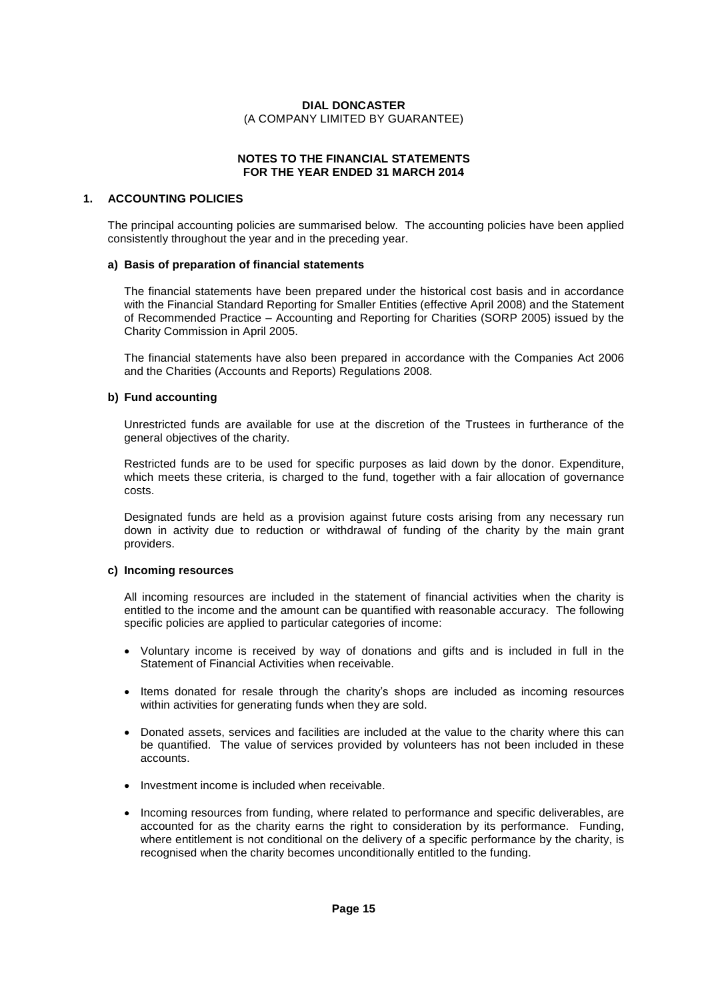## **NOTES TO THE FINANCIAL STATEMENTS FOR THE YEAR ENDED 31 MARCH 2014**

## **1. ACCOUNTING POLICIES**

The principal accounting policies are summarised below. The accounting policies have been applied consistently throughout the year and in the preceding year.

#### **a) Basis of preparation of financial statements**

The financial statements have been prepared under the historical cost basis and in accordance with the Financial Standard Reporting for Smaller Entities (effective April 2008) and the Statement of Recommended Practice – Accounting and Reporting for Charities (SORP 2005) issued by the Charity Commission in April 2005.

The financial statements have also been prepared in accordance with the Companies Act 2006 and the Charities (Accounts and Reports) Regulations 2008.

#### **b) Fund accounting**

Unrestricted funds are available for use at the discretion of the Trustees in furtherance of the general objectives of the charity.

Restricted funds are to be used for specific purposes as laid down by the donor. Expenditure, which meets these criteria, is charged to the fund, together with a fair allocation of governance costs.

Designated funds are held as a provision against future costs arising from any necessary run down in activity due to reduction or withdrawal of funding of the charity by the main grant providers.

## **c) Incoming resources**

All incoming resources are included in the statement of financial activities when the charity is entitled to the income and the amount can be quantified with reasonable accuracy. The following specific policies are applied to particular categories of income:

- Voluntary income is received by way of donations and gifts and is included in full in the Statement of Financial Activities when receivable.
- Items donated for resale through the charity's shops are included as incoming resources within activities for generating funds when they are sold.
- Donated assets, services and facilities are included at the value to the charity where this can be quantified. The value of services provided by volunteers has not been included in these accounts.
- Investment income is included when receivable.
- Incoming resources from funding, where related to performance and specific deliverables, are accounted for as the charity earns the right to consideration by its performance. Funding, where entitlement is not conditional on the delivery of a specific performance by the charity, is recognised when the charity becomes unconditionally entitled to the funding.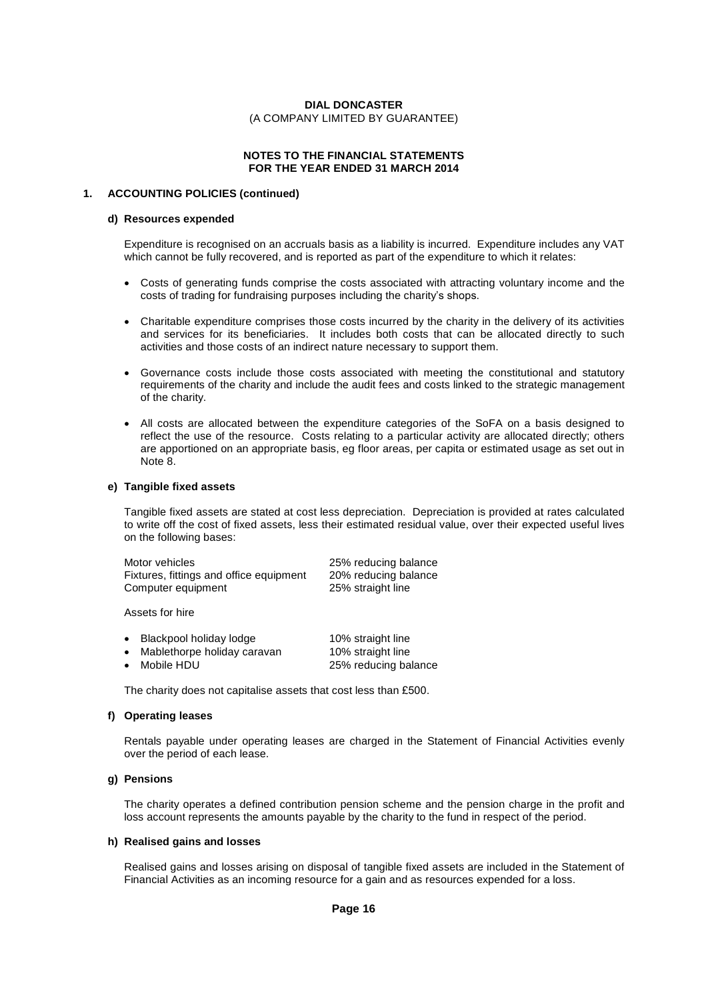#### **NOTES TO THE FINANCIAL STATEMENTS FOR THE YEAR ENDED 31 MARCH 2014**

#### **1. ACCOUNTING POLICIES (continued)**

#### **d) Resources expended**

Expenditure is recognised on an accruals basis as a liability is incurred. Expenditure includes any VAT which cannot be fully recovered, and is reported as part of the expenditure to which it relates:

- Costs of generating funds comprise the costs associated with attracting voluntary income and the Costs of generating funds comprise the costs associated with attracting v<br>costs of trading for fundraising purposes including the charity's shops.
- Charitable expenditure comprises those costs incurred by the charity in the delivery of its activities and services for its beneficiaries. It includes both costs that can be allocated directly to such activities and those costs of an indirect nature necessary to support them.
- Governance costs include those costs associated with meeting the constitutional and statutory requirements of the charity and include the audit fees and costs linked to the strategic management of the charity.
- All costs are allocated between the expenditure categories of the SoFA on a basis designed to reflect the use of the resource. Costs relating to a particular activity are allocated directly; others are apportioned on an appropriate basis, eg floor areas, per capita or estimated usage as setout in Note 8.

#### **e) Tangible fixed assets**

Tangible fixed assets are stated at cost less depreciation. Depreciation is provided at rates calculated to write off the cost of fixed assets, less their estimated residual value, over their expected useful lives on the following bases:

| Motor vehicles                          | 25% reducing balance |
|-----------------------------------------|----------------------|
| Fixtures, fittings and office equipment | 20% reducing balance |
| Computer equipment                      | 25% straight line    |

Assets for hire

| • Blackpool holiday lodge     | 10% straight line    |
|-------------------------------|----------------------|
| • Mablethorpe holiday caravan | 10% straight line    |
| • Mobile HDU                  | 25% reducing balance |

The charity does not capitalise assets that cost less than £500.

#### **f) Operating leases**

Rentals payable under operating leases are charged in the Statement of Financial Activities evenly over the period of each lease.

#### **g) Pensions**

The charity operates a defined contribution pension scheme and the pension charge in the profit and loss account represents the amounts payable by the charity to the fund in respect of the period.

#### **h) Realised gains and losses**

Realised gains and losses arising on disposal of tangible fixed assets are included in the Statement of Financial Activities as an incoming resource for a gain and as resources expended for a loss.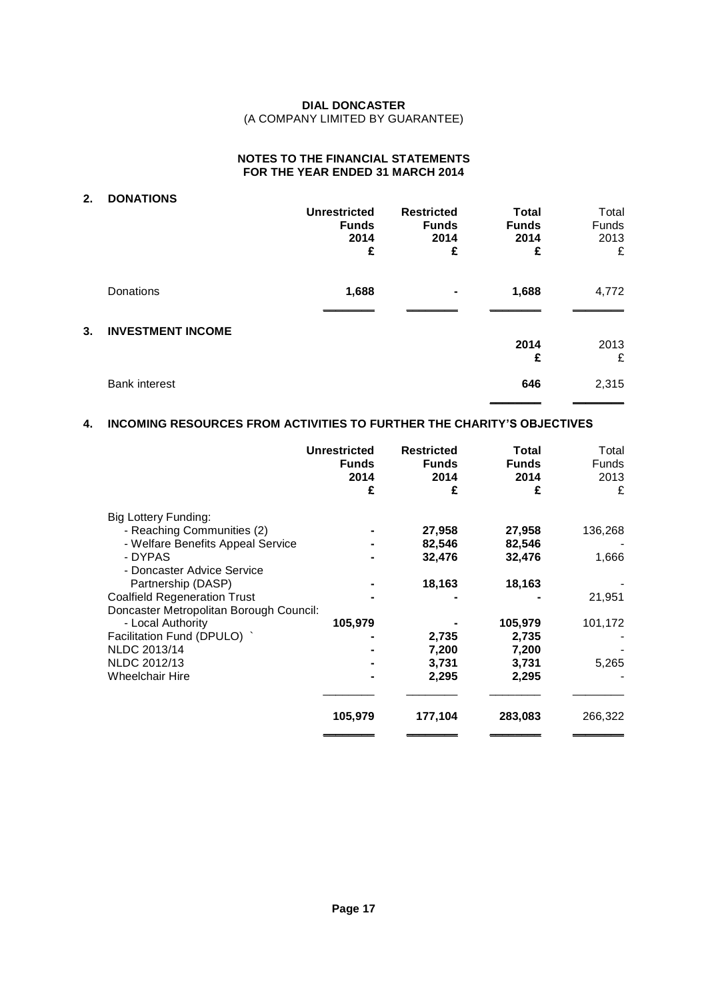## **NOTES TO THE FINANCIAL STATEMENTS FOR THE YEAR ENDED 31 MARCH 2014**

## **2. DONATIONS Unrestricted Restricted Total** Total<br>**Funds Funds Funds** Funds **Funds**<br> **Example 2014**<br> **E**<br> **E**<br> **E**<br> **E**<br> **E**<br> **E**<br> **E £Funds Funds Funds** Funds **2014 2014 2014** 2013 Donations **1,688 - 1,688** 4,772 \_\_\_\_\_\_\_\_ \_\_\_\_\_\_\_\_ \_\_\_\_\_\_\_\_ \_\_\_\_\_\_\_\_ **3. INVESTMENT INCOME 2014** 2013 £

## **4. INCOMING RESOURCES FROM ACTIVITIES TO FURTHER THE CHARITYíS OBJECTIVES**

Bank interest 2,315

 $2013$ 

\_\_\_\_\_\_\_\_ \_\_\_\_\_\_\_\_

|                                         | <b>Unrestricted</b><br><b>Funds</b><br>2014<br>£ | <b>Restricted</b><br><b>Funds</b><br>2014<br>£ | Total<br><b>Funds</b><br>2014<br>£ | Total<br><b>Funds</b><br>2013<br>£ |
|-----------------------------------------|--------------------------------------------------|------------------------------------------------|------------------------------------|------------------------------------|
| Big Lottery Funding:                    |                                                  |                                                |                                    |                                    |
| - Reaching Communities (2)              |                                                  | 27,958                                         | 27,958                             | 136,268                            |
| - Welfare Benefits Appeal Service       |                                                  | 82,546                                         | 82,546                             |                                    |
| - DYPAS                                 |                                                  | 32,476                                         | 32,476                             | 1,666                              |
| - Doncaster Advice Service              |                                                  |                                                |                                    |                                    |
| Partnership (DASP)                      |                                                  | 18,163                                         | 18,163                             |                                    |
| <b>Coalfield Regeneration Trust</b>     |                                                  |                                                |                                    | 21,951                             |
| Doncaster Metropolitan Borough Council: |                                                  |                                                |                                    |                                    |
| - Local Authority                       | 105,979                                          |                                                | 105,979                            | 101,172                            |
| Facilitation Fund (DPULO) `             |                                                  | 2,735                                          | 2,735                              |                                    |
| NLDC 2013/14                            |                                                  | 7,200                                          | 7,200                              |                                    |
| NLDC 2012/13                            |                                                  | 3,731                                          | 3,731                              | 5,265                              |
| <b>Wheelchair Hire</b>                  |                                                  | 2,295                                          | 2,295                              |                                    |
|                                         |                                                  |                                                |                                    |                                    |
|                                         | 105,979                                          | 177,104                                        | 283,083                            | 266,322                            |
|                                         |                                                  |                                                |                                    |                                    |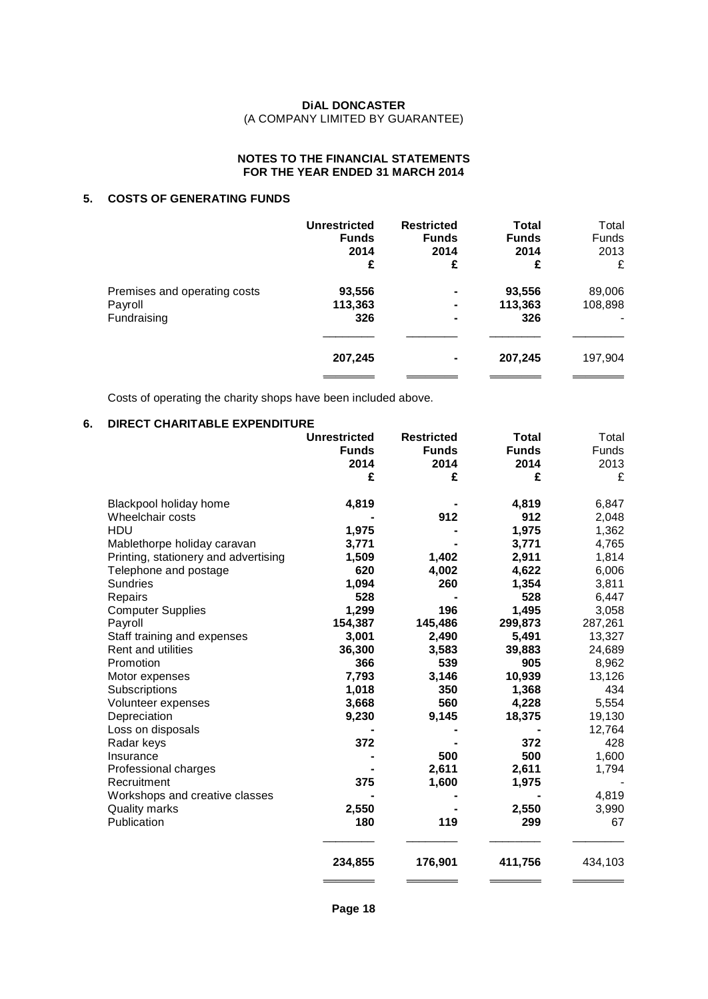## **NOTES TO THE FINANCIAL STATEMENTS FOR THE YEAR ENDED 31 MARCH 2014**

## **5. COSTS OF GENERATING FUNDS**

|                              | <b>Unrestricted</b><br><b>Funds</b><br>2014<br>£ | <b>Restricted</b><br><b>Funds</b><br>2014<br>£ | <b>Total</b><br><b>Funds</b><br>2014<br>£ | Total<br>Funds<br>2013<br>£ |  |
|------------------------------|--------------------------------------------------|------------------------------------------------|-------------------------------------------|-----------------------------|--|
| Premises and operating costs | 93,556                                           | ۰                                              | 93,556                                    | 89,006                      |  |
| Payroll                      | 113,363                                          | ۰                                              | 113,363                                   | 108,898                     |  |
| Fundraising                  | 326                                              | ۰                                              | 326                                       | $\blacksquare$              |  |
|                              | 207,245                                          | ۰                                              | 207,245                                   | 197,904                     |  |

Costs of operating the charity shops have been included above.

## **6. DIRECT CHARITABLE EXPENDITURE**

|                                      | <b>Unrestricted</b> | <b>Restricted</b> | <b>Total</b> | Total   |
|--------------------------------------|---------------------|-------------------|--------------|---------|
|                                      | <b>Funds</b>        | <b>Funds</b>      | <b>Funds</b> | Funds   |
|                                      | 2014                | 2014              | 2014         | 2013    |
|                                      | £                   | £                 | £            | £       |
| Blackpool holiday home               | 4,819               |                   | 4,819        | 6,847   |
| Wheelchair costs                     |                     | 912               | 912          | 2,048   |
| HDU                                  | 1,975               |                   | 1,975        | 1,362   |
| Mablethorpe holiday caravan          | 3,771               |                   | 3,771        | 4,765   |
| Printing, stationery and advertising | 1,509               | 1,402             | 2,911        | 1,814   |
| Telephone and postage                | 620                 | 4,002             | 4,622        | 6,006   |
| <b>Sundries</b>                      | 1,094               | 260               | 1,354        | 3,811   |
| Repairs                              | 528                 |                   | 528          | 6,447   |
| <b>Computer Supplies</b>             | 1,299               | 196               | 1,495        | 3,058   |
| Payroll                              | 154,387             | 145,486           | 299,873      | 287,261 |
| Staff training and expenses          | 3,001               | 2,490             | 5,491        | 13,327  |
| <b>Rent and utilities</b>            | 36,300              | 3,583             | 39,883       | 24,689  |
| Promotion                            | 366                 | 539               | 905          | 8,962   |
| Motor expenses                       | 7,793               | 3,146             | 10,939       | 13,126  |
| Subscriptions                        | 1,018               | 350               | 1,368        | 434     |
| Volunteer expenses                   | 3,668               | 560               | 4,228        | 5,554   |
| Depreciation                         | 9,230               | 9,145             | 18,375       | 19,130  |
| Loss on disposals                    |                     |                   |              | 12,764  |
| Radar keys                           | 372                 |                   | 372          | 428     |
| Insurance                            |                     | 500               | 500          | 1,600   |
| Professional charges                 |                     | 2,611             | 2,611        | 1,794   |
| Recruitment                          | 375                 | 1,600             | 1,975        |         |
| Workshops and creative classes       |                     |                   |              | 4,819   |
| <b>Quality marks</b>                 | 2,550               |                   | 2,550        | 3,990   |
| Publication                          | 180                 | 119               | 299          | 67      |
|                                      | 234,855             | 176,901           | 411,756      | 434,103 |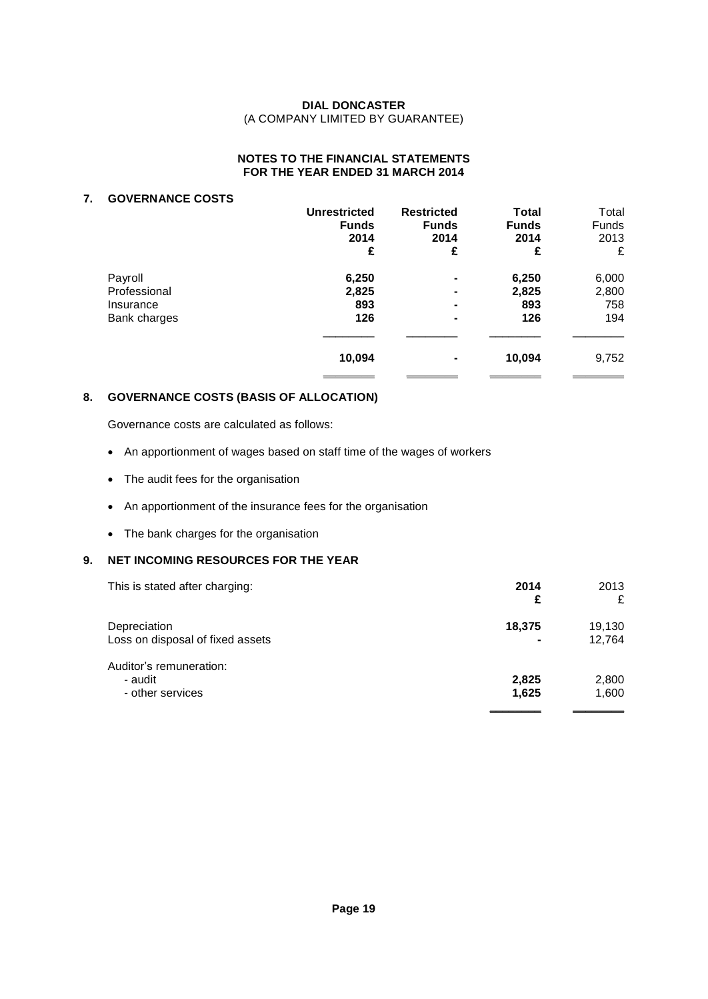## **NOTES TO THE FINANCIAL STATEMENTS FOR THE YEAR ENDED 31 MARCH 2014**

## **7. GOVERNANCE COSTS**

|                                                      | <b>Unrestricted</b><br><b>Funds</b><br>2014<br>£ | <b>Restricted</b><br><b>Funds</b><br>2014<br>£ | Total<br><b>Funds</b><br>2014<br>£ | Total<br>Funds<br>2013<br>£  |  |
|------------------------------------------------------|--------------------------------------------------|------------------------------------------------|------------------------------------|------------------------------|--|
| Payroll<br>Professional<br>Insurance<br>Bank charges | 6,250<br>2,825<br>893<br>126                     | ۰<br>۰<br>۰<br>۰                               | 6,250<br>2,825<br>893<br>126       | 6,000<br>2,800<br>758<br>194 |  |
|                                                      | 10,094                                           | ۰                                              | 10,094                             | 9,752                        |  |

## **8. GOVERNANCE COSTS (BASIS OF ALLOCATION)**

Governance costs are calculated as follows:

- An apportionment of wages based on staff time of the wages of workers
- The audit fees for the organisation
- An apportionment of the insurance fees for the organisation
- The bank charges for the organisation

## **9. NET INCOMING RESOURCES FOR THE YEAR**

| This is stated after charging:                         | 2014<br>£      | 2013<br>£        |  |
|--------------------------------------------------------|----------------|------------------|--|
| Depreciation<br>Loss on disposal of fixed assets       | 18,375<br>۰    | 19,130<br>12,764 |  |
| Auditor's remuneration:<br>- audit<br>- other services | 2,825<br>1,625 | 2,800<br>1,600   |  |
|                                                        |                |                  |  |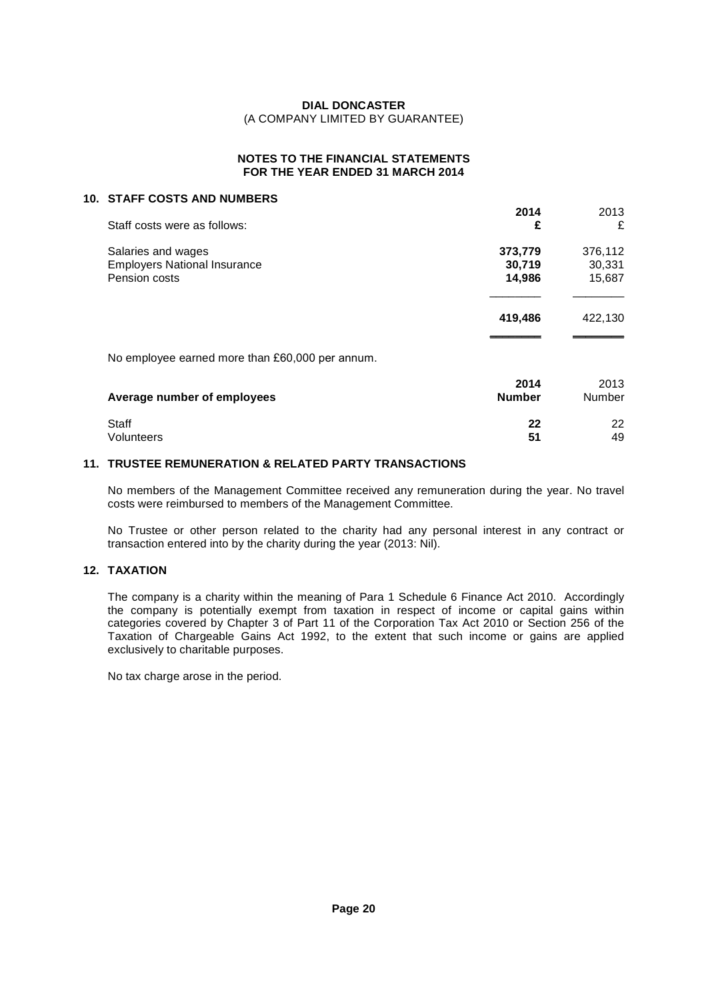## **NOTES TO THE FINANCIAL STATEMENTS FOR THE YEAR ENDED 31 MARCH 2014**

#### **10. STAFF COSTS AND NUMBERS**

| <b>STAFF COSTS AND NUMBERS</b>                  |                       |                |  |
|-------------------------------------------------|-----------------------|----------------|--|
|                                                 | 2014                  | 2013           |  |
| Staff costs were as follows:                    | £                     | £              |  |
| Salaries and wages                              | 373,779               | 376,112        |  |
| <b>Employers National Insurance</b>             | 30,719                | 30,331         |  |
| Pension costs                                   | 14,986                | 15,687         |  |
|                                                 | 419,486               | 422,130        |  |
| No employee earned more than £60,000 per annum. |                       |                |  |
| Average number of employees                     | 2014<br><b>Number</b> | 2013<br>Number |  |
|                                                 |                       |                |  |
| Staff                                           | 22                    | 22             |  |

## **11. TRUSTEE REMUNERATION & RELATED PARTY TRANSACTIONS**

No members of the Management Committee received any remuneration during the year. No travel costs were reimbursed to members of the Management Committee.

Volunteers **51** 49

No Trustee or other person related to the charity had any personal interest in any contract or transaction entered into by the charity during the year (2013: Nil).

## **12. TAXATION**

The company is a charity within the meaning of Para 1 Schedule 6 Finance Act 2010. Accordingly the company is potentially exempt from taxation in respect of income or capital gains within categories covered by Chapter 3 of Part 11 of the Corporation Tax Act 2010 or Section 256 of the Taxation of Chargeable Gains Act 1992, to the extent that such income or gains are applied exclusively to charitable purposes.

No tax charge arose in the period.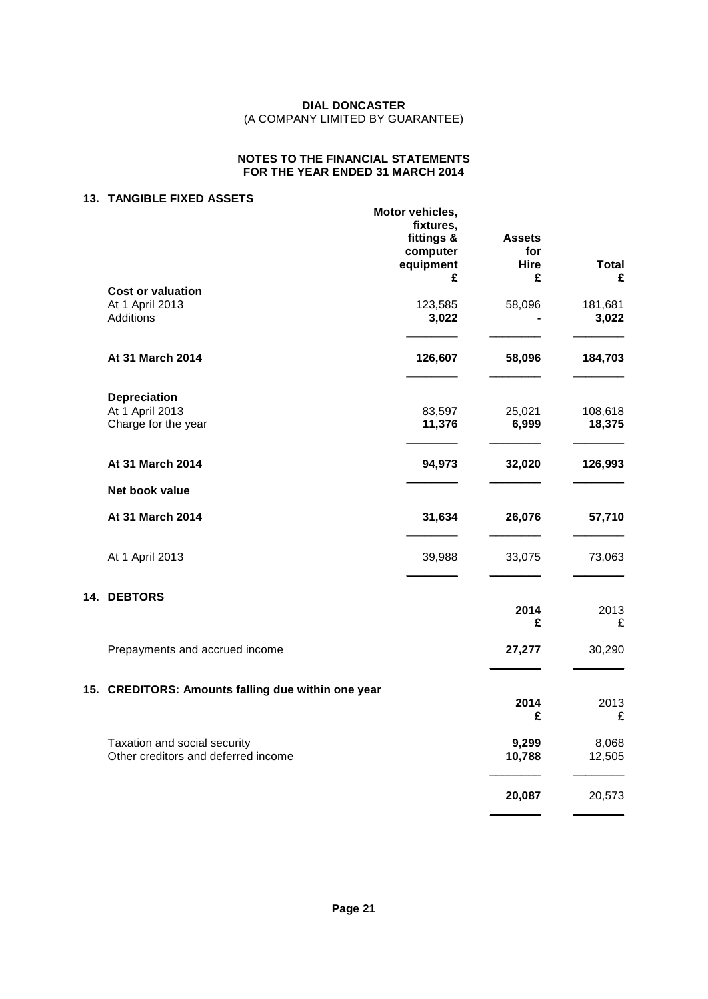## **NOTES TO THE FINANCIAL STATEMENTS FOR THE YEAR ENDED 31 MARCH 2014**

## **13. TANGIBLE FIXED ASSETS**

|                                                                     | Motor vehicles,<br>fixtures,<br>fittings &<br>computer<br>equipment<br>£ | <b>Assets</b><br>for<br>Hire<br>£ | <b>Total</b><br>£ |
|---------------------------------------------------------------------|--------------------------------------------------------------------------|-----------------------------------|-------------------|
| <b>Cost or valuation</b>                                            |                                                                          |                                   |                   |
| At 1 April 2013<br><b>Additions</b>                                 | 123,585<br>3,022                                                         | 58,096                            | 181,681<br>3,022  |
| At 31 March 2014                                                    | 126,607                                                                  | 58,096                            | 184,703           |
| <b>Depreciation</b>                                                 |                                                                          |                                   |                   |
| At 1 April 2013<br>Charge for the year                              | 83,597<br>11,376                                                         | 25,021<br>6,999                   | 108,618<br>18,375 |
| At 31 March 2014                                                    | 94,973                                                                   | 32,020                            | 126,993           |
| Net book value                                                      |                                                                          |                                   |                   |
| At 31 March 2014                                                    | 31,634                                                                   | 26,076                            | 57,710            |
| At 1 April 2013                                                     | 39,988                                                                   | 33,075                            | 73,063            |
| 14. DEBTORS                                                         |                                                                          |                                   |                   |
|                                                                     |                                                                          | 2014<br>£                         | 2013<br>£         |
| Prepayments and accrued income                                      |                                                                          | 27,277                            | 30,290            |
| 15. CREDITORS: Amounts falling due within one year                  |                                                                          |                                   |                   |
|                                                                     |                                                                          | 2014<br>£                         | 2013<br>£         |
| Taxation and social security<br>Other creditors and deferred income |                                                                          | 9,299<br>10,788                   | 8,068<br>12,505   |
|                                                                     |                                                                          | 20,087                            | 20,573            |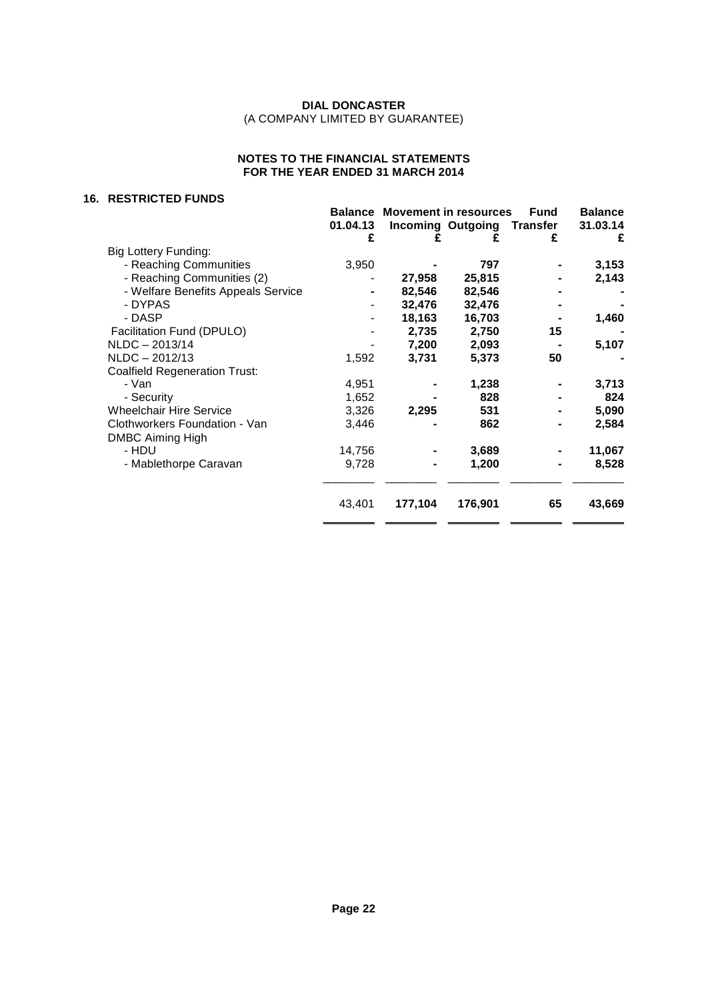## **NOTES TO THE FINANCIAL STATEMENTS FOR THE YEAR ENDED 31 MARCH 2014**

#### **16. RESTRICTED FUNDS**

| טשוט ו שבו טוועבט                    |                          |                                      |                          |                 |                |
|--------------------------------------|--------------------------|--------------------------------------|--------------------------|-----------------|----------------|
|                                      |                          | <b>Balance Movement in resources</b> |                          | <b>Fund</b>     | <b>Balance</b> |
|                                      | 01.04.13                 |                                      | <b>Incoming Outgoing</b> | <b>Transfer</b> | 31.03.14       |
|                                      | £                        | £                                    | £                        | £               | £              |
| <b>Big Lottery Funding:</b>          |                          |                                      |                          |                 |                |
| - Reaching Communities               | 3,950                    |                                      | 797                      |                 | 3,153          |
| - Reaching Communities (2)           |                          | 27,958                               | 25,815                   |                 | 2,143          |
| - Welfare Benefits Appeals Service   |                          | 82,546                               | 82,546                   |                 |                |
| - DYPAS                              |                          | 32,476                               | 32,476                   |                 |                |
| - DASP                               | $\overline{\phantom{a}}$ | 18,163                               | 16,703                   |                 | 1,460          |
| Facilitation Fund (DPULO)            |                          | 2,735                                | 2,750                    | 15              |                |
| NLDC-2013/14                         |                          | 7,200                                | 2,093                    |                 | 5,107          |
| $NLDC - 2012/13$                     | 1,592                    | 3,731                                | 5,373                    | 50              |                |
| <b>Coalfield Regeneration Trust:</b> |                          |                                      |                          |                 |                |
| - Van                                | 4,951                    |                                      | 1,238                    |                 | 3,713          |
| - Security                           | 1,652                    |                                      | 828                      |                 | 824            |
| <b>Wheelchair Hire Service</b>       | 3,326                    | 2,295                                | 531                      |                 | 5,090          |
| Clothworkers Foundation - Van        | 3,446                    |                                      | 862                      |                 | 2,584          |
| <b>DMBC Aiming High</b>              |                          |                                      |                          |                 |                |
| - HDU                                | 14,756                   |                                      | 3,689                    |                 | 11,067         |
| - Mablethorpe Caravan                | 9,728                    |                                      | 1,200                    |                 | 8,528          |
|                                      |                          |                                      |                          |                 |                |
|                                      | 43,401                   | 177,104                              | 176,901                  | 65              | 43,669         |
|                                      |                          |                                      |                          |                 |                |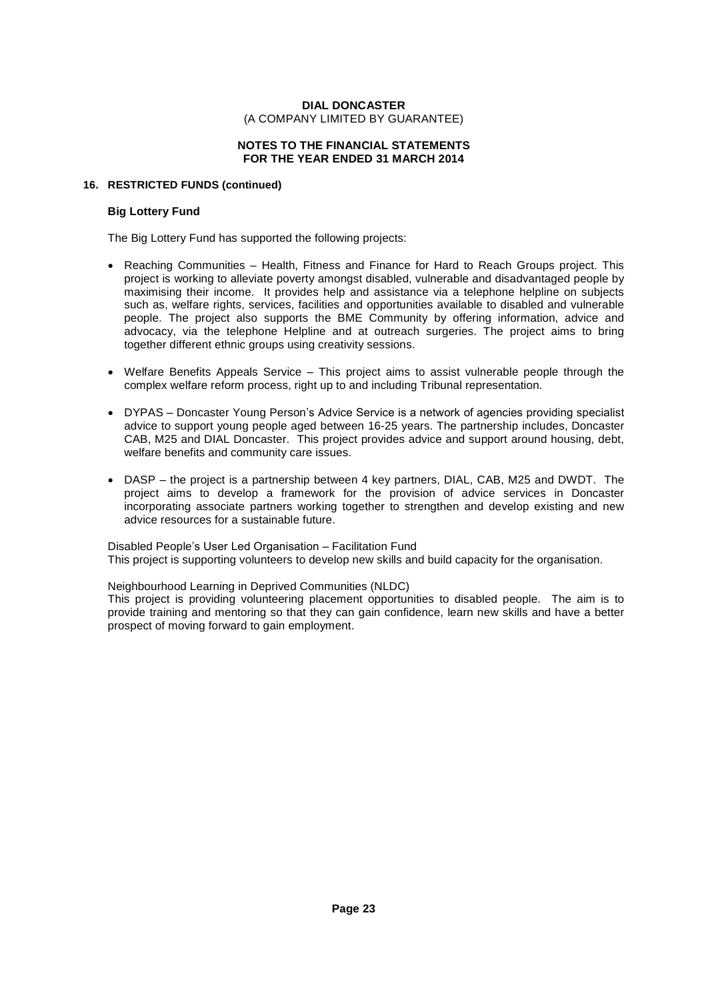#### **NOTES TO THE FINANCIAL STATEMENTS FOR THE YEAR ENDED 31 MARCH 2014**

#### **16. RESTRICTED FUNDS (continued)**

## **Big Lottery Fund**

The Big Lottery Fund has supported the following projects:

- Reaching Communities Health, Fitness and Finance for Hard to Reach Groups project. This project is working to alleviate poverty amongst disabled, vulnerable and disadvantaged people by maximising their income. It provides help and assistance via a telephone helpline on subjects such as, welfare rights, services, facilities and opportunities available to disabled and vulnerable people. The project also supports the BME Community by offering information, advice and advocacy, via the telephone Helpline and at outreach surgeries. The project aims to bring together different ethnic groups using creativity sessions.
- $\bullet$  Welfare Benefits Appeals Service  $-$  This project aims to assist vulnerable people through the complex welfare reform process, right up to and including Tribunal representation.<br>• DYPAS – Doncaster Young Person's Advice Service is a network of agencies providing specialist
- advice to support young people aged between 16-25 years. The partnership includes, Doncaster CAB, M25 and DIAL Doncaster. This project provides advice and support around housing, debt, welfare benefits and community care issues.
- DASP the project is a partnership between 4 key partners, DIAL, CAB, M25 and DWDT. The project aims to develop a framework for the provision of advice services in Doncaster incorporating associate partners working together to strengthen and develop existing and new advice resources for a sustainable future.

Disabled People's User Led Organisation – Facilitation Fund This project is supporting volunteers to develop new skills and build capacity for the organisation.

Neighbourhood Learning in Deprived Communities (NLDC)

This project is providing volunteering placement opportunities to disabled people. The aim is to provide training and mentoring so that they can gain confidence, learn new skills and have a better prospect of moving forward to gain employment.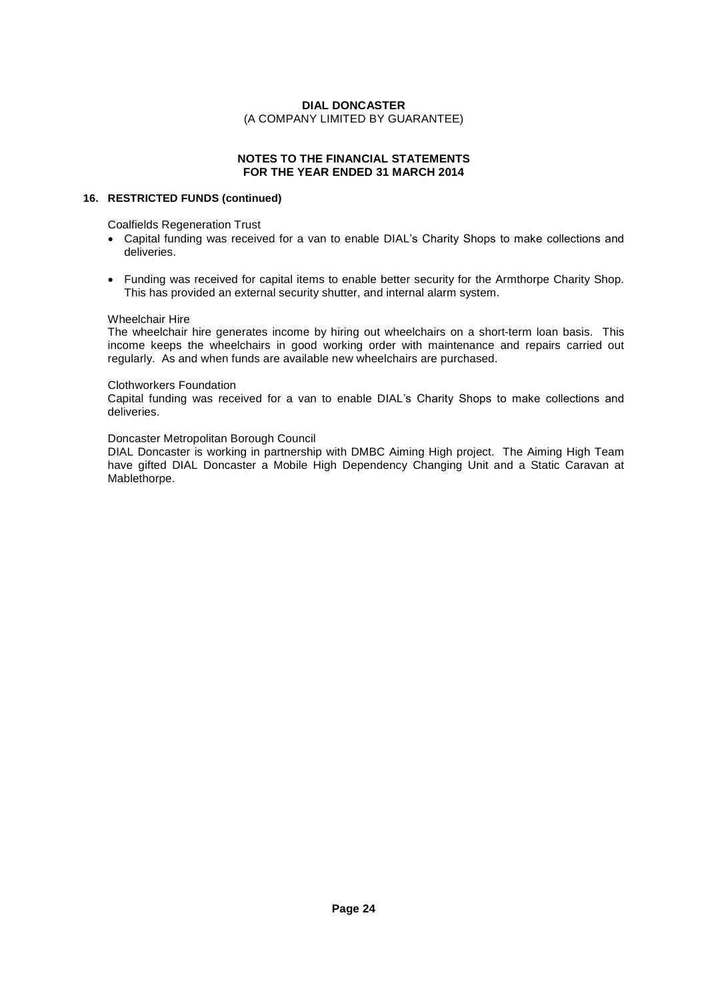## **NOTES TO THE FINANCIAL STATEMENTS FOR THE YEAR ENDED 31 MARCH 2014**

#### **16. RESTRICTED FUNDS (continued)**

Coalfields Regeneration Trust

- Capital funding was received for a van to enable DIAL's Charity Shops to make collections and deliveries.
- Funding was received for capital items to enable better security for the Armthorpe Charity Shop. This has provided an external security shutter, and internal alarm system.

#### Wheelchair Hire

The wheelchair hire generates income by hiring out wheelchairs on a short-term loan basis. This income keeps the wheelchairs in good working order with maintenance and repairs carried out regularly. As and when funds are available new wheelchairs are purchased.

#### Clothworkers Foundation

Capital funding was received fora van to enable DIALís Charity Shops to make collections and deliveries.

#### Doncaster Metropolitan Borough Council

DIAL Doncaster is working in partnership with DMBC Aiming High project. The Aiming High Team have gifted DIAL Doncaster a Mobile High Dependency Changing Unit and a Static Caravan at Mablethorpe.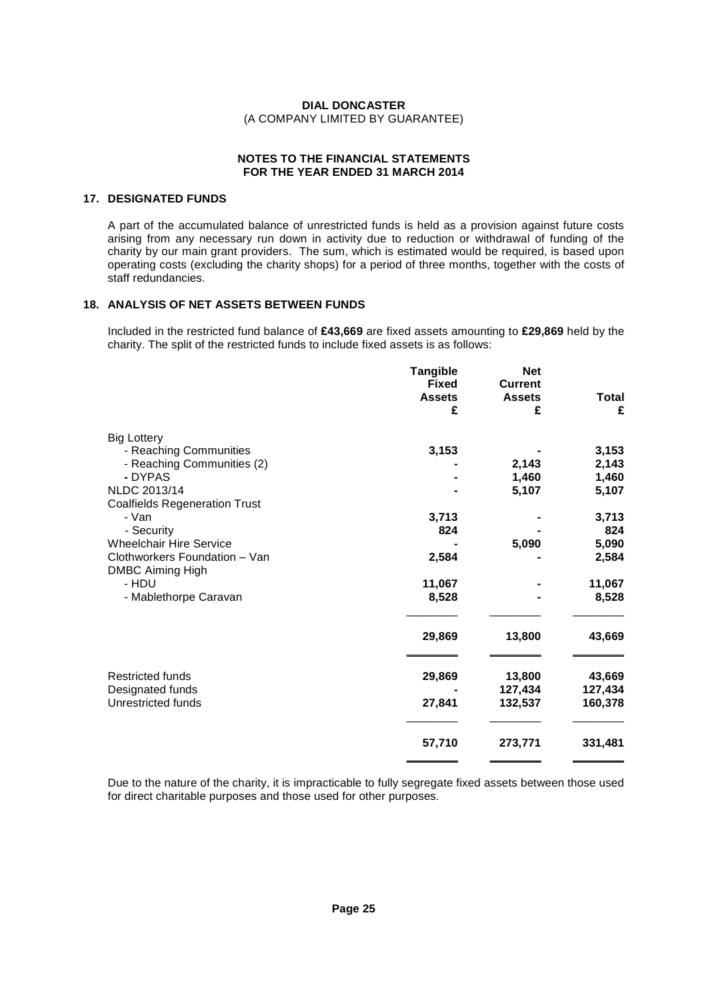#### **NOTES TO THE FINANCIAL STATEMENTS FOR THE YEAR ENDED 31 MARCH 2014**

## **17. DESIGNATED FUNDS**

A part of the accumulated balance of unrestricted funds is held as a provision against future costs arising from any necessary run down in activity due to reduction or withdrawal of funding of the charity by our main grant providers. The sum, which is estimated would be required, is based upon operating costs (excluding the charity shops) for a period of three months, together with the costs of staff redundancies.

## **18. ANALYSIS OF NET ASSETS BETWEEN FUNDS**

Included in the restricted fund balance of **£43,669** are fixed assets amounting to **£29,869** held by the charity. The split of the restricted funds to include fixed assets is as follows:

|                                                          | <b>Tangible</b><br><b>Fixed</b> | <b>Net</b><br><b>Current</b> |              |
|----------------------------------------------------------|---------------------------------|------------------------------|--------------|
|                                                          | <b>Assets</b>                   | <b>Assets</b>                | <b>Total</b> |
|                                                          | £                               | £                            | £            |
| <b>Big Lottery</b>                                       |                                 |                              |              |
| - Reaching Communities                                   | 3,153                           |                              | 3,153        |
| - Reaching Communities (2)                               |                                 | 2,143                        | 2,143        |
| - DYPAS                                                  |                                 | 1,460                        | 1,460        |
| NLDC 2013/14                                             |                                 | 5,107                        | 5,107        |
| <b>Coalfields Regeneration Trust</b>                     |                                 |                              |              |
| - Van                                                    | 3,713                           |                              | 3,713        |
| - Security                                               | 824                             |                              | 824          |
| <b>Wheelchair Hire Service</b>                           |                                 | 5,090                        | 5,090        |
| Clothworkers Foundation - Van<br><b>DMBC Aiming High</b> | 2,584                           |                              | 2,584        |
| - HDU                                                    | 11,067                          |                              | 11,067       |
| - Mablethorpe Caravan                                    | 8,528                           |                              | 8,528        |
|                                                          | 29,869                          | 13,800                       | 43,669       |
| <b>Restricted funds</b>                                  | 29,869                          | 13,800                       | 43,669       |
| Designated funds                                         |                                 | 127,434                      | 127,434      |
| Unrestricted funds                                       | 27,841                          | 132,537                      | 160,378      |
|                                                          | 57,710                          | 273,771                      | 331,481      |
|                                                          |                                 |                              |              |

Due to the nature of the charity, it is impracticable to fully segregate fixed assets between those used for direct charitable purposes and those used for other purposes.